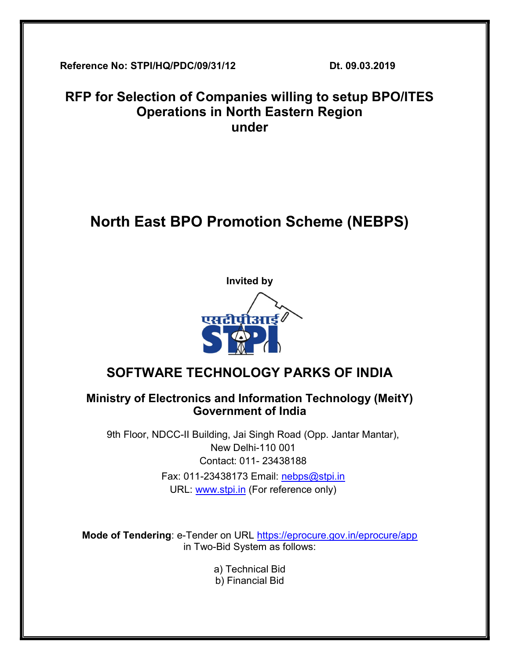Reference No: STPI/HQ/PDC/09/31/12 Dt. 09.03.2019

## RFP for Selection of Companies willing to setup BPO/ITES Operations in North Eastern Region under

# North East BPO Promotion Scheme (NEBPS)



## SOFTWARE TECHNOLOGY PARKS OF INDIA

## Ministry of Electronics and Information Technology (MeitY) Government of India

9th Floor, NDCC-II Building, Jai Singh Road (Opp. Jantar Mantar), New Delhi-110 001 Contact: 011- 23438188 Fax: 011-23438173 Email: nebps@stpi.in URL: www.stpi.in (For reference only)

Mode of Tendering: e-Tender on URL https://eprocure.gov.in/eprocure/app in Two-Bid System as follows:

> a) Technical Bid b) Financial Bid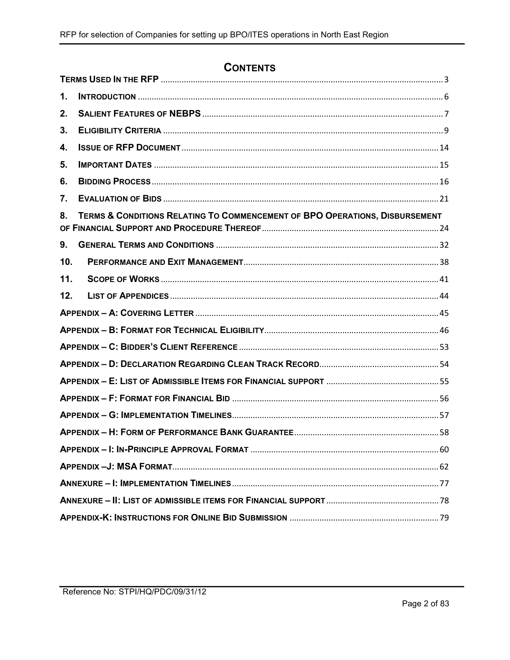## **CONTENTS**

| 1.              |                                                                             |  |  |  |
|-----------------|-----------------------------------------------------------------------------|--|--|--|
| 2.              |                                                                             |  |  |  |
| 3.              |                                                                             |  |  |  |
| 4.              |                                                                             |  |  |  |
| 5.              |                                                                             |  |  |  |
| 6.              |                                                                             |  |  |  |
| 7.              |                                                                             |  |  |  |
| 8.              | TERMS & CONDITIONS RELATING TO COMMENCEMENT OF BPO OPERATIONS, DISBURSEMENT |  |  |  |
| 9.              |                                                                             |  |  |  |
| 10 <sub>1</sub> |                                                                             |  |  |  |
| 11.             |                                                                             |  |  |  |
| 12.             |                                                                             |  |  |  |
|                 |                                                                             |  |  |  |
|                 |                                                                             |  |  |  |
|                 |                                                                             |  |  |  |
|                 |                                                                             |  |  |  |
|                 |                                                                             |  |  |  |
|                 |                                                                             |  |  |  |
|                 |                                                                             |  |  |  |
|                 |                                                                             |  |  |  |
|                 |                                                                             |  |  |  |
|                 |                                                                             |  |  |  |
|                 |                                                                             |  |  |  |
|                 |                                                                             |  |  |  |
|                 |                                                                             |  |  |  |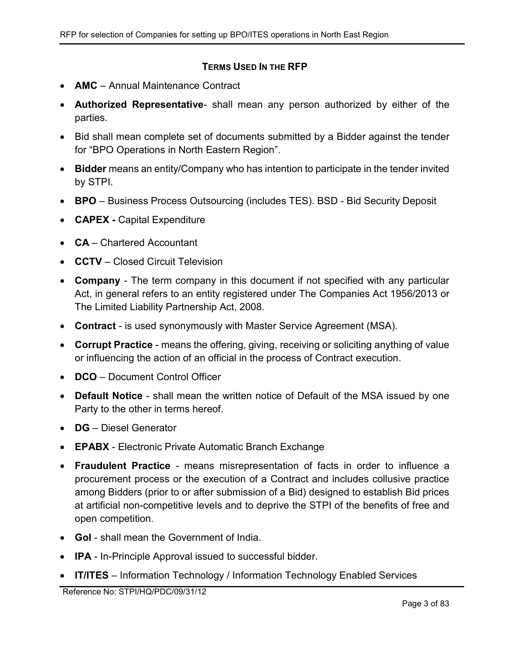#### TERMS USED IN THE RFP

- **AMC** Annual Maintenance Contract
- Authorized Representative- shall mean any person authorized by either of the parties.
- Bid shall mean complete set of documents submitted by a Bidder against the tender for "BPO Operations in North Eastern Region".
- Bidder means an entity/Company who has intention to participate in the tender invited by STPI.
- BPO Business Process Outsourcing (includes TES). BSD Bid Security Deposit
- CAPEX Capital Expenditure
- CA Chartered Accountant
- CCTV Closed Circuit Television
- Company The term company in this document if not specified with any particular Act, in general refers to an entity registered under The Companies Act 1956/2013 or The Limited Liability Partnership Act, 2008.
- Contract is used synonymously with Master Service Agreement (MSA).
- Corrupt Practice means the offering, giving, receiving or soliciting anything of value or influencing the action of an official in the process of Contract execution.
- DCO Document Control Officer
- Default Notice shall mean the written notice of Default of the MSA issued by one Party to the other in terms hereof.
- DG Diesel Generator
- EPABX Electronic Private Automatic Branch Exchange
- Fraudulent Practice means misrepresentation of facts in order to influence a procurement process or the execution of a Contract and includes collusive practice among Bidders (prior to or after submission of a Bid) designed to establish Bid prices at artificial non-competitive levels and to deprive the STPI of the benefits of free and open competition.
- GoI shall mean the Government of India.
- **IPA** In-Principle Approval issued to successful bidder.
- IT/ITES Information Technology / Information Technology Enabled Services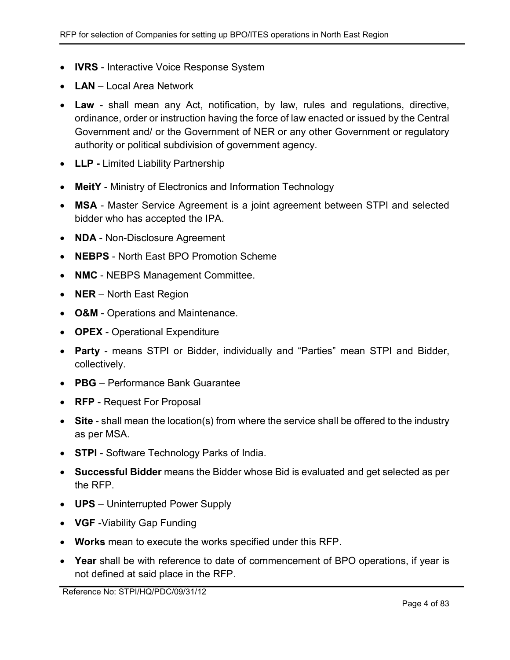- **IVRS** Interactive Voice Response System
- LAN Local Area Network
- Law shall mean any Act, notification, by law, rules and regulations, directive, ordinance, order or instruction having the force of law enacted or issued by the Central Government and/ or the Government of NER or any other Government or regulatory authority or political subdivision of government agency.
- LLP Limited Liability Partnership
- MeitY Ministry of Electronics and Information Technology
- MSA Master Service Agreement is a joint agreement between STPI and selected bidder who has accepted the IPA.
- NDA Non-Disclosure Agreement
- NEBPS North East BPO Promotion Scheme
- NMC NEBPS Management Committee.
- NER North East Region
- O&M Operations and Maintenance.
- OPEX Operational Expenditure
- Party means STPI or Bidder, individually and "Parties" mean STPI and Bidder, collectively.
- PBG Performance Bank Guarantee
- RFP Request For Proposal
- Site shall mean the location(s) from where the service shall be offered to the industry as per MSA.
- STPI Software Technology Parks of India.
- Successful Bidder means the Bidder whose Bid is evaluated and get selected as per the RFP.
- UPS Uninterrupted Power Supply
- VGF Viability Gap Funding
- Works mean to execute the works specified under this RFP.
- Year shall be with reference to date of commencement of BPO operations, if year is not defined at said place in the RFP.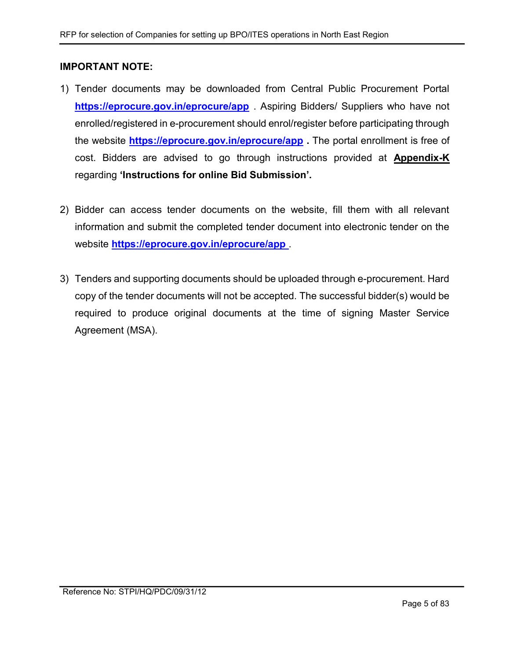#### IMPORTANT NOTE:

- 1) Tender documents may be downloaded from Central Public Procurement Portal https://eprocure.gov.in/eprocure/app . Aspiring Bidders/ Suppliers who have not enrolled/registered in e-procurement should enrol/register before participating through the website **https://eprocure.gov.in/eprocure/app** The portal enrollment is free of cost. Bidders are advised to go through instructions provided at Appendix-K regarding 'Instructions for online Bid Submission'.
- 2) Bidder can access tender documents on the website, fill them with all relevant information and submit the completed tender document into electronic tender on the website https://eprocure.gov.in/eprocure/app.
- 3) Tenders and supporting documents should be uploaded through e-procurement. Hard copy of the tender documents will not be accepted. The successful bidder(s) would be required to produce original documents at the time of signing Master Service Agreement (MSA).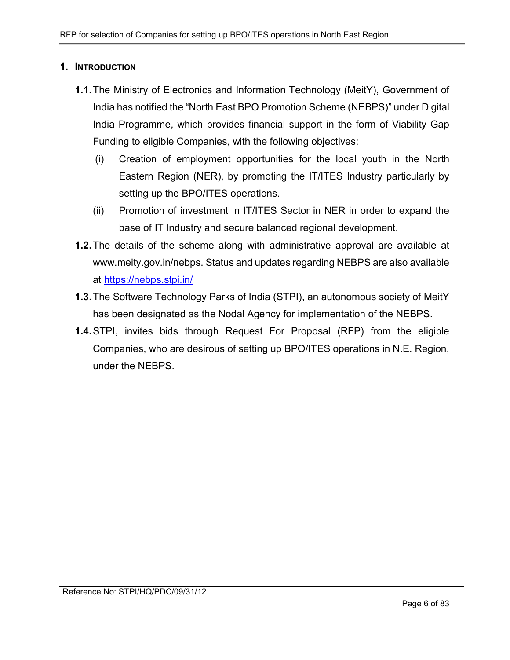#### 1. INTRODUCTION

- 1.1. The Ministry of Electronics and Information Technology (MeitY), Government of India has notified the "North East BPO Promotion Scheme (NEBPS)" under Digital India Programme, which provides financial support in the form of Viability Gap Funding to eligible Companies, with the following objectives:
	- (i) Creation of employment opportunities for the local youth in the North Eastern Region (NER), by promoting the IT/ITES Industry particularly by setting up the BPO/ITES operations.
	- (ii) Promotion of investment in IT/ITES Sector in NER in order to expand the base of IT Industry and secure balanced regional development.
- 1.2. The details of the scheme along with administrative approval are available at www.meity.gov.in/nebps. Status and updates regarding NEBPS are also available at https://nebps.stpi.in/
- 1.3. The Software Technology Parks of India (STPI), an autonomous society of MeitY has been designated as the Nodal Agency for implementation of the NEBPS.
- 1.4. STPI, invites bids through Request For Proposal (RFP) from the eligible Companies, who are desirous of setting up BPO/ITES operations in N.E. Region, under the NEBPS.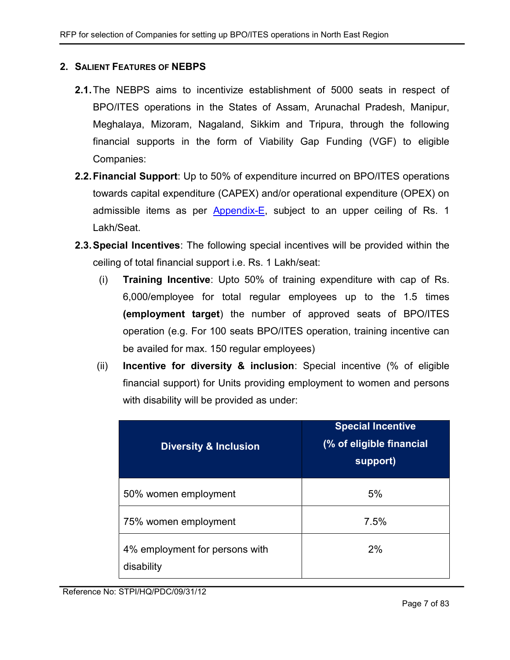#### 2. SALIENT FEATURES OF NEBPS

- 2.1. The NEBPS aims to incentivize establishment of 5000 seats in respect of BPO/ITES operations in the States of Assam, Arunachal Pradesh, Manipur, Meghalaya, Mizoram, Nagaland, Sikkim and Tripura, through the following financial supports in the form of Viability Gap Funding (VGF) to eligible Companies:
- 2.2. Financial Support: Up to 50% of expenditure incurred on BPO/ITES operations towards capital expenditure (CAPEX) and/or operational expenditure (ОРЕХ) on admissible items as per Appendix-E, subject to an upper ceiling of Rs. 1 Lakh/Seat.
- 2.3. Special Incentives: The following special incentives will be provided within the ceiling of total financial support i.e. Rs. 1 Lakh/seat:
	- (i) Training Incentive: Upto 50% of training expenditure with cap of Rs. 6,000/employee for total regular employees up to the 1.5 times (employment target) the number of approved seats of BPO/ITES operation (e.g. For 100 seats BPO/ITES operation, training incentive can be availed for max. 150 regular employees)
	- (ii) Incentive for diversity & inclusion: Special incentive (% of eligible financial support) for Units providing employment to women and persons with disability will be provided as under:

| <b>Diversity &amp; Inclusion</b>             | <b>Special Incentive</b><br>(% of eligible financial<br>support) |  |  |
|----------------------------------------------|------------------------------------------------------------------|--|--|
| 50% women employment                         | 5%                                                               |  |  |
| 75% women employment                         | 7.5%                                                             |  |  |
| 4% employment for persons with<br>disability | 2%                                                               |  |  |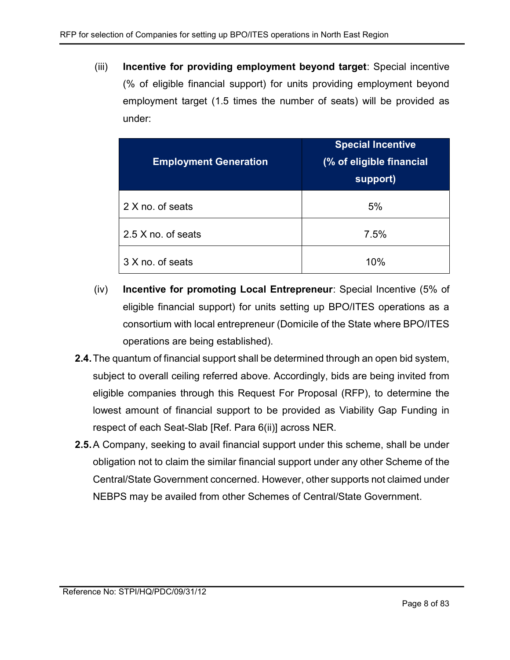(iii) Incentive for providing employment beyond target: Special incentive (% of eligible financial support) for units providing employment beyond employment target (1.5 times the number of seats) will be provided as under:

| <b>Employment Generation</b> | <b>Special Incentive</b><br>(% of eligible financial<br>support) |
|------------------------------|------------------------------------------------------------------|
| 2 X no. of seats             | 5%                                                               |
| 2.5 X no. of seats           | 7.5%                                                             |
| 3 X no. of seats             | 10%                                                              |

- (iv) Incentive for promoting Local Entrepreneur: Special Incentive (5% of eligible financial support) for units setting up BPO/ITES operations as a consortium with local entrepreneur (Domicile of the State where BPO/ITES operations are being established).
- 2.4. The quantum of financial support shall be determined through an open bid system, subject to overall ceiling referred above. Accordingly, bids are being invited from eligible companies through this Request For Proposal (RFP), to determine the lowest amount of financial support to be provided as Viability Gap Funding in respect of each Seat-Slab [Ref. Para 6(ii)] across NER.
- 2.5. A Company, seeking to avail financial support under this scheme, shall be under obligation not to claim the similar financial support under any other Scheme of the Central/State Government concerned. However, other supports not claimed under NEBPS may be availed from other Schemes of Central/State Government.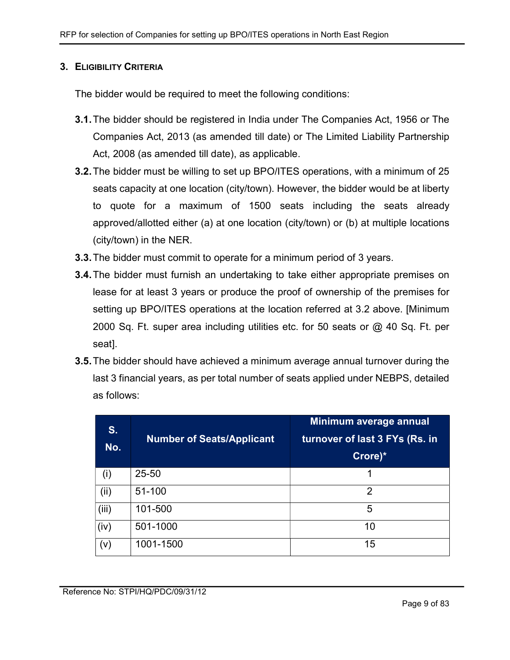#### 3. ELIGIBILITY CRITERIA

The bidder would be required to meet the following conditions:

- 3.1. The bidder should be registered in India under The Companies Act, 1956 or The Companies Act, 2013 (as amended till date) or The Limited Liability Partnership Act, 2008 (as amended till date), as applicable.
- 3.2. The bidder must be willing to set up BPO/ITES operations, with a minimum of 25 seats capacity at one location (city/town). However, the bidder would be at liberty to quote for a maximum of 1500 seats including the seats already approved/allotted either (a) at one location (city/town) or (b) at multiple locations (city/town) in the NER.
- 3.3. The bidder must commit to operate for a minimum period of 3 years.
- **3.4.** The bidder must furnish an undertaking to take either appropriate premises on lease for at least 3 years or produce the proof of ownership of the premises for setting up BPO/ITES operations at the location referred at 3.2 above. [Minimum 2000 Sq. Ft. super area including utilities etc. for 50 seats or @ 40 Sq. Ft. per seat].
- 3.5. The bidder should have achieved a minimum average annual turnover during the last 3 financial years, as per total number of seats applied under NEBPS, detailed as follows:

| S.<br>No. | <b>Number of Seats/Applicant</b> | Minimum average annual<br>turnover of last 3 FYs (Rs. in<br>Crore)* |
|-----------|----------------------------------|---------------------------------------------------------------------|
| (i)       | 25-50                            |                                                                     |
| (ii)      | 51-100                           | 2                                                                   |
| (iii)     | 101-500                          | 5                                                                   |
| (iv)      | 501-1000                         | 10                                                                  |
| (v)       | 1001-1500                        | 15                                                                  |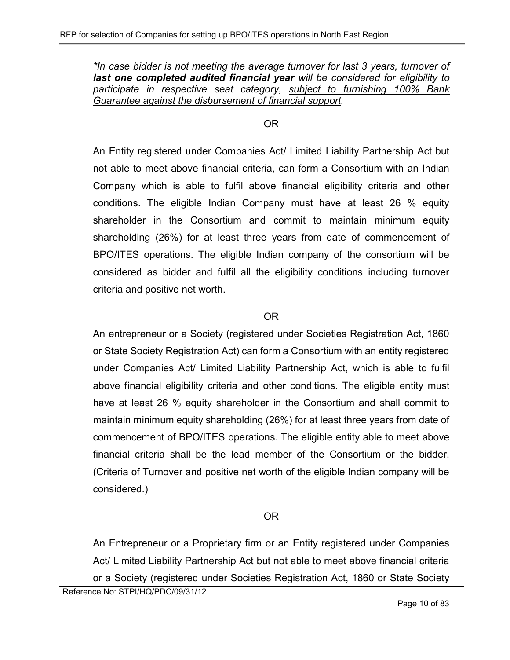\*In case bidder is not meeting the average turnover for last 3 years, turnover of last one completed audited financial year will be considered for eligibility to participate in respective seat category, subject to furnishing 100% Bank Guarantee against the disbursement of financial support.

#### OR

An Entity registered under Companies Act/ Limited Liability Partnership Act but not able to meet above financial criteria, can form a Consortium with an Indian Company which is able to fulfil above financial eligibility criteria and other conditions. The eligible Indian Company must have at least 26 % equity shareholder in the Consortium and commit to maintain minimum equity shareholding (26%) for at least three years from date of commencement of BPO/ITES operations. The eligible Indian company of the consortium will be considered as bidder and fulfil all the eligibility conditions including turnover criteria and positive net worth.

#### OR

An entrepreneur or a Society (registered under Societies Registration Act, 1860 or State Society Registration Act) can form a Consortium with an entity registered under Companies Act/ Limited Liability Partnership Act, which is able to fulfil above financial eligibility criteria and other conditions. The eligible entity must have at least 26 % equity shareholder in the Consortium and shall commit to maintain minimum equity shareholding (26%) for at least three years from date of commencement of BPO/ITES operations. The eligible entity able to meet above financial criteria shall be the lead member of the Consortium or the bidder. (Criteria of Turnover and positive net worth of the eligible Indian company will be considered.)

#### OR

An Entrepreneur or a Proprietary firm or an Entity registered under Companies Act/ Limited Liability Partnership Act but not able to meet above financial criteria or a Society (registered under Societies Registration Act, 1860 or State Society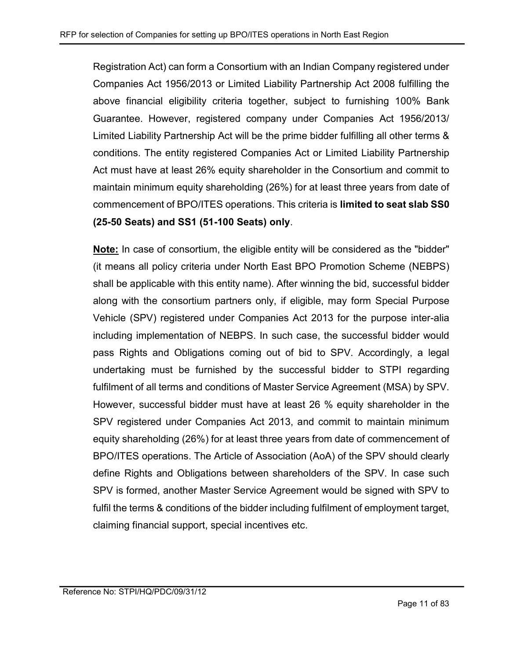Registration Act) can form a Consortium with an Indian Company registered under Companies Act 1956/2013 or Limited Liability Partnership Act 2008 fulfilling the above financial eligibility criteria together, subject to furnishing 100% Bank Guarantee. However, registered company under Companies Act 1956/2013/ Limited Liability Partnership Act will be the prime bidder fulfilling all other terms & conditions. The entity registered Companies Act or Limited Liability Partnership Act must have at least 26% equity shareholder in the Consortium and commit to maintain minimum equity shareholding (26%) for at least three years from date of commencement of BPO/ITES operations. This criteria is limited to seat slab SS0 (25-50 Seats) and SS1 (51-100 Seats) only.

Note: In case of consortium, the eligible entity will be considered as the "bidder" (it means all policy criteria under North East BPO Promotion Scheme (NEBPS) shall be applicable with this entity name). After winning the bid, successful bidder along with the consortium partners only, if eligible, may form Special Purpose Vehicle (SPV) registered under Companies Act 2013 for the purpose inter-alia including implementation of NEBPS. In such case, the successful bidder would pass Rights and Obligations coming out of bid to SPV. Accordingly, a legal undertaking must be furnished by the successful bidder to STPI regarding fulfilment of all terms and conditions of Master Service Agreement (MSA) by SPV. However, successful bidder must have at least 26 % equity shareholder in the SPV registered under Companies Act 2013, and commit to maintain minimum equity shareholding (26%) for at least three years from date of commencement of BPO/ITES operations. The Article of Association (AoA) of the SPV should clearly define Rights and Obligations between shareholders of the SPV. In case such SPV is formed, another Master Service Agreement would be signed with SPV to fulfil the terms & conditions of the bidder including fulfilment of employment target, claiming financial support, special incentives etc.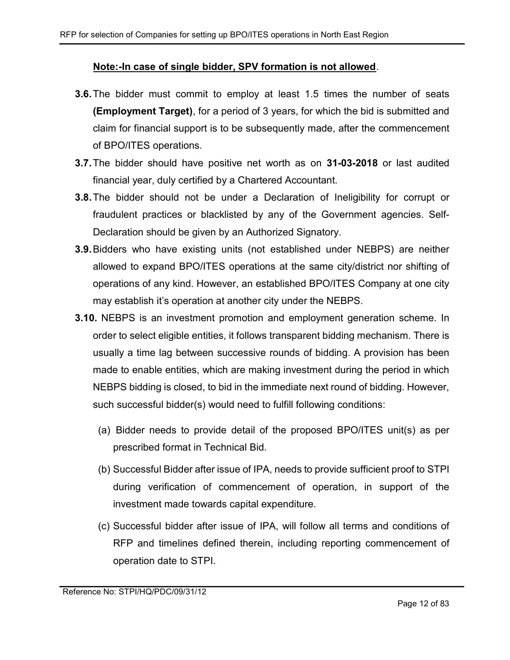#### Note:-In case of single bidder, SPV formation is not allowed.

- **3.6.** The bidder must commit to employ at least 1.5 times the number of seats (Employment Target), for a period of 3 years, for which the bid is submitted and claim for financial support is to be subsequently made, after the commencement of BPO/ITES operations.
- **3.7.** The bidder should have positive net worth as on **31-03-2018** or last audited financial year, duly certified by a Chartered Accountant.
- 3.8. The bidder should not be under a Declaration of Ineligibility for corrupt or fraudulent practices or blacklisted by any of the Government agencies. Self-Declaration should be given by an Authorized Signatory.
- 3.9. Bidders who have existing units (not established under NEBPS) are neither allowed to expand BPO/ITES operations at the same city/district nor shifting of operations of any kind. However, an established BPO/ITES Company at one city may establish it's operation at another city under the NEBPS.
- 3.10. NEBPS is an investment promotion and employment generation scheme. In order to select eligible entities, it follows transparent bidding mechanism. There is usually a time lag between successive rounds of bidding. A provision has been made to enable entities, which are making investment during the period in which NEBPS bidding is closed, to bid in the immediate next round of bidding. However, such successful bidder(s) would need to fulfill following conditions:
	- (a) Bidder needs to provide detail of the proposed BPO/ITES unit(s) as per prescribed format in Technical Bid.
	- (b) Successful Bidder after issue of IPA, needs to provide sufficient proof to STPI during verification of commencement of operation, in support of the investment made towards capital expenditure.
	- (c) Successful bidder after issue of IPA, will follow all terms and conditions of RFP and timelines defined therein, including reporting commencement of operation date to STPI.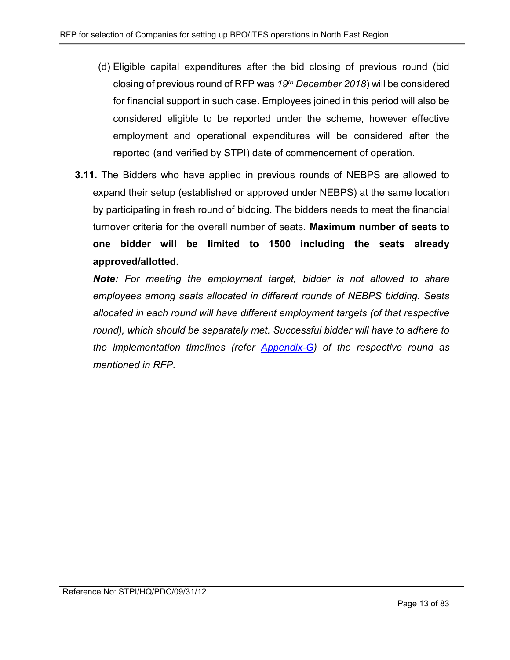- (d) Eligible capital expenditures after the bid closing of previous round (bid closing of previous round of RFP was  $19<sup>th</sup>$  December 2018) will be considered for financial support in such case. Employees joined in this period will also be considered eligible to be reported under the scheme, however effective employment and operational expenditures will be considered after the reported (and verified by STPI) date of commencement of operation.
- 3.11. The Bidders who have applied in previous rounds of NEBPS are allowed to expand their setup (established or approved under NEBPS) at the same location by participating in fresh round of bidding. The bidders needs to meet the financial turnover criteria for the overall number of seats. Maximum number of seats to one bidder will be limited to 1500 including the seats already approved/allotted.

Note: For meeting the employment target, bidder is not allowed to share employees among seats allocated in different rounds of NEBPS bidding. Seats allocated in each round will have different employment targets (of that respective round), which should be separately met. Successful bidder will have to adhere to the implementation timelines (refer Appendix-G) of the respective round as mentioned in RFP.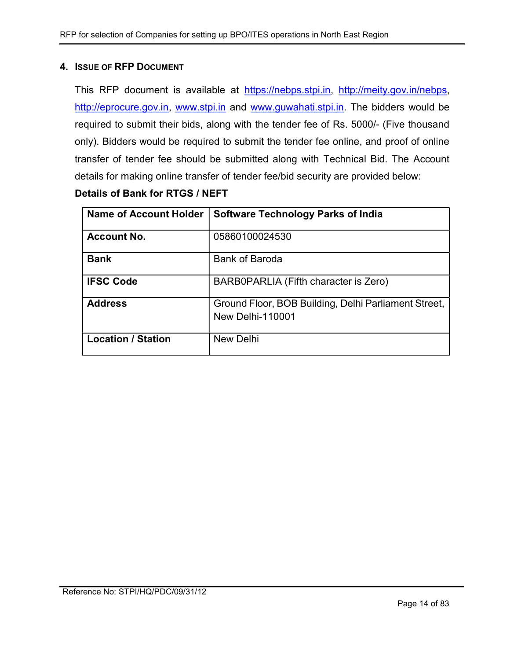#### 4. ISSUE OF RFP DOCUMENT

This RFP document is available at https://nebps.stpi.in, http://meity.gov.in/nebps, http://eprocure.gov.in, www.stpi.in and www.guwahati.stpi.in. The bidders would be required to submit their bids, along with the tender fee of Rs. 5000/- (Five thousand only). Bidders would be required to submit the tender fee online, and proof of online transfer of tender fee should be submitted along with Technical Bid. The Account details for making online transfer of tender fee/bid security are provided below:

| Details of Bank for RTGS / NEFT |  |  |  |  |
|---------------------------------|--|--|--|--|
|---------------------------------|--|--|--|--|

| <b>Name of Account Holder</b> | <b>Software Technology Parks of India</b>                                       |
|-------------------------------|---------------------------------------------------------------------------------|
| <b>Account No.</b>            | 05860100024530                                                                  |
| <b>Bank</b>                   | <b>Bank of Baroda</b>                                                           |
| <b>IFSC Code</b>              | BARB0PARLIA (Fifth character is Zero)                                           |
| <b>Address</b>                | Ground Floor, BOB Building, Delhi Parliament Street,<br><b>New Delhi-110001</b> |
| <b>Location / Station</b>     | <b>New Delhi</b>                                                                |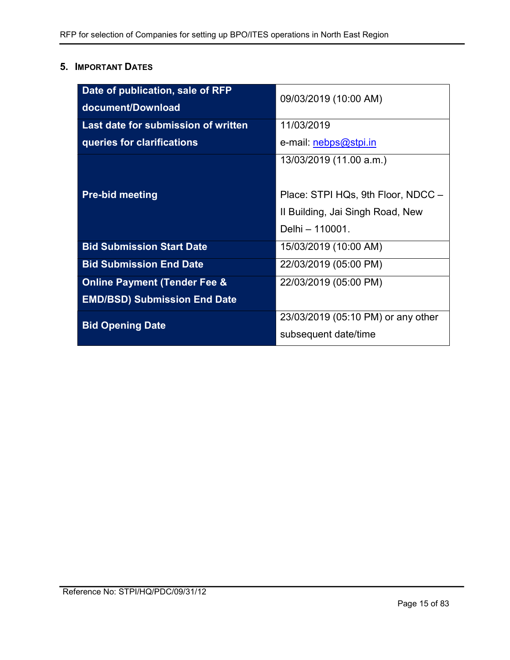## 5. IMPORTANT DATES

| Date of publication, sale of RFP<br>document/Download | 09/03/2019 (10:00 AM)              |  |
|-------------------------------------------------------|------------------------------------|--|
| Last date for submission of written                   | 11/03/2019                         |  |
| queries for clarifications                            | e-mail: nebps@stpi.in              |  |
|                                                       | 13/03/2019 (11.00 a.m.)            |  |
| <b>Pre-bid meeting</b>                                | Place: STPI HQs, 9th Floor, NDCC - |  |
|                                                       | II Building, Jai Singh Road, New   |  |
|                                                       | Delhi - 110001.                    |  |
| <b>Bid Submission Start Date</b>                      | 15/03/2019 (10:00 AM)              |  |
| <b>Bid Submission End Date</b>                        | 22/03/2019 (05:00 PM)              |  |
| <b>Online Payment (Tender Fee &amp;</b>               | 22/03/2019 (05:00 PM)              |  |
| <b>EMD/BSD) Submission End Date</b>                   |                                    |  |
| <b>Bid Opening Date</b>                               | 23/03/2019 (05:10 PM) or any other |  |
|                                                       | subsequent date/time               |  |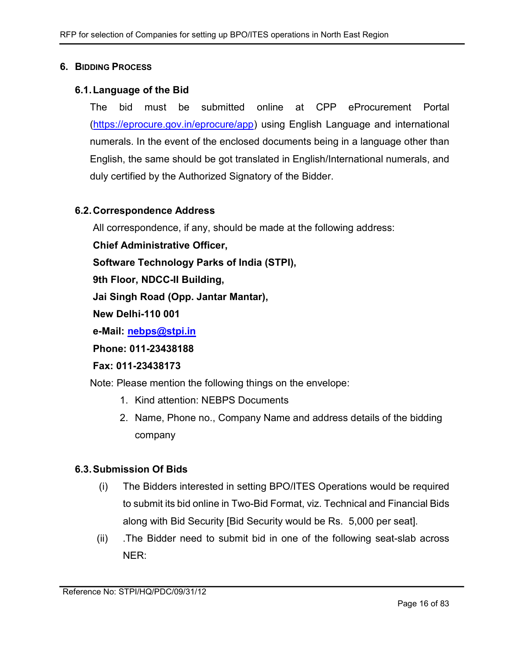#### 6. BIDDING PROCESS

#### 6.1. Language of the Bid

The bid must be submitted online at CPP eProcurement Portal (https://eprocure.gov.in/eprocure/app) using English Language and international numerals. In the event of the enclosed documents being in a language other than English, the same should be got translated in English/International numerals, and duly certified by the Authorized Signatory of the Bidder.

#### 6.2. Correspondence Address

All correspondence, if any, should be made at the following address:

Chief Administrative Officer,

Software Technology Parks of India (STPI),

9th Floor, NDCC-II Building,

Jai Singh Road (Opp. Jantar Mantar),

New Delhi-110 001

e-Mail: nebps@stpi.in

Phone: 011-23438188

#### Fax: 011-23438173

Note: Please mention the following things on the envelope:

- 1. Kind attention: NEBPS Documents
- 2. Name, Phone no., Company Name and address details of the bidding company

#### 6.3. Submission Of Bids

- (i) The Bidders interested in setting BPO/ITES Operations would be required to submit its bid online in Two-Bid Format, viz. Technical and Financial Bids along with Bid Security [Bid Security would be Rs. 5,000 per seat].
- (ii) .The Bidder need to submit bid in one of the following seat-slab across NER: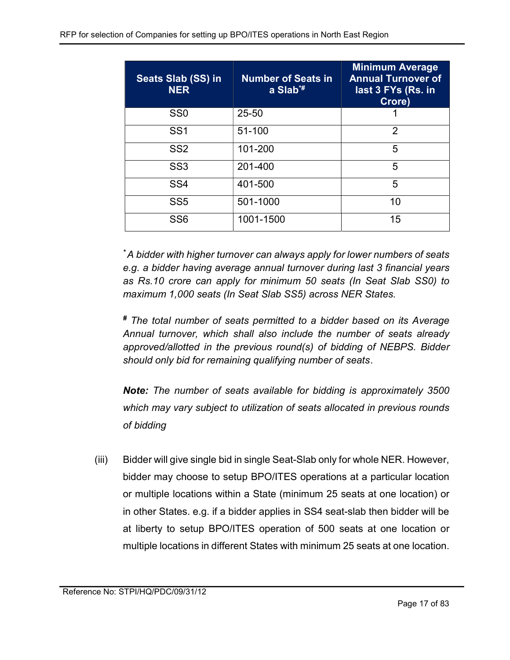| Seats Slab (SS) in<br><b>NER</b> | <b>Number of Seats in</b><br>a $Slab^{\ast\ast}$ | <b>Minimum Average</b><br><b>Annual Turnover of</b><br>last 3 FYs (Rs. in<br>Crore) |
|----------------------------------|--------------------------------------------------|-------------------------------------------------------------------------------------|
| SS <sub>0</sub>                  | 25-50                                            |                                                                                     |
| SS <sub>1</sub>                  | 51-100                                           | 2                                                                                   |
| SS <sub>2</sub>                  | 101-200                                          | 5                                                                                   |
| SS <sub>3</sub>                  | 201-400                                          | 5                                                                                   |
| SS <sub>4</sub>                  | 401-500                                          | 5                                                                                   |
| SS <sub>5</sub>                  | 501-1000                                         | 10                                                                                  |
| SS <sub>6</sub>                  | 1001-1500                                        | 15                                                                                  |

\*A bidder with higher turnover can always apply for lower numbers of seats e.g. a bidder having average annual turnover during last 3 financial years as Rs.10 crore can apply for minimum 50 seats (In Seat Slab SS0) to maximum 1,000 seats (In Seat Slab SS5) across NER States.

# The total number of seats permitted to a bidder based on its Average Annual turnover, which shall also include the number of seats already approved/allotted in the previous round(s) of bidding of NEBPS. Bidder should only bid for remaining qualifying number of seats.

Note: The number of seats available for bidding is approximately 3500 which may vary subject to utilization of seats allocated in previous rounds of bidding

(iii) Bidder will give single bid in single Seat-Slab only for whole NER. However, bidder may choose to setup BPO/ITES operations at a particular location or multiple locations within a State (minimum 25 seats at one location) or in other States. e.g. if a bidder applies in SS4 seat-slab then bidder will be at liberty to setup BPO/ITES operation of 500 seats at one location or multiple locations in different States with minimum 25 seats at one location.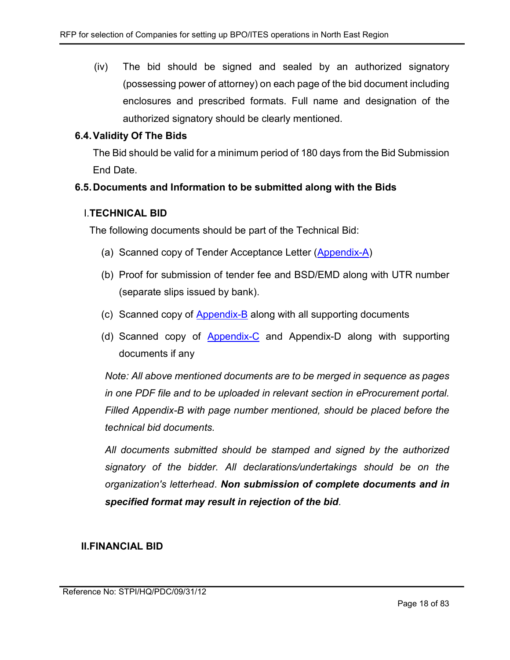(iv) The bid should be signed and sealed by an authorized signatory (possessing power of attorney) on each page of the bid document including enclosures and prescribed formats. Full name and designation of the authorized signatory should be clearly mentioned.

#### 6.4. Validity Of The Bids

The Bid should be valid for a minimum period of 180 days from the Bid Submission End Date.

#### 6.5. Documents and Information to be submitted along with the Bids

#### I.TECHNICAL BID

The following documents should be part of the Technical Bid:

- (a) Scanned copy of Tender Acceptance Letter (Appendix-A)
- (b) Proof for submission of tender fee and BSD/EMD along with UTR number (separate slips issued by bank).
- (c) Scanned copy of Appendix-B along with all supporting documents
- (d) Scanned copy of Appendix-C and Appendix-D along with supporting documents if any

Note: All above mentioned documents are to be merged in sequence as pages in one PDF file and to be uploaded in relevant section in eProcurement portal. Filled Appendix-B with page number mentioned, should be placed before the technical bid documents.

All documents submitted should be stamped and signed by the authorized signatory of the bidder. All declarations/undertakings should be on the organization's letterhead. Non submission of complete documents and in specified format may result in rejection of the bid.

#### II.FINANCIAL BID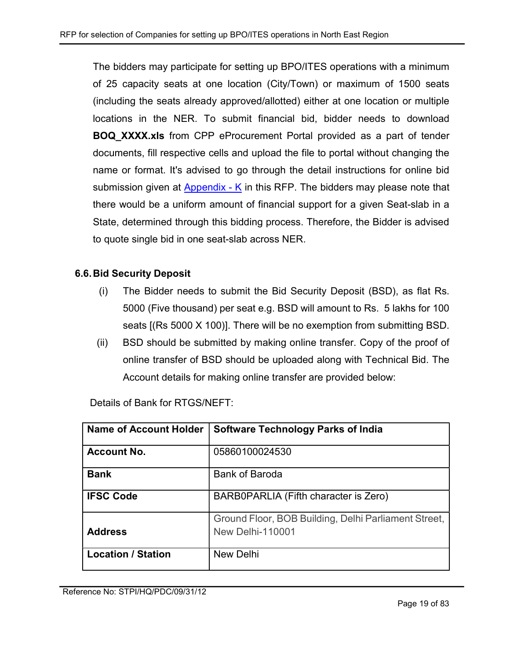The bidders may participate for setting up BPO/ITES operations with a minimum of 25 capacity seats at one location (City/Town) or maximum of 1500 seats (including the seats already approved/allotted) either at one location or multiple locations in the NER. To submit financial bid, bidder needs to download **BOQ XXXX.xls** from CPP eProcurement Portal provided as a part of tender documents, fill respective cells and upload the file to portal without changing the name or format. It's advised to go through the detail instructions for online bid submission given at Appendix - K in this RFP. The bidders may please note that there would be a uniform amount of financial support for a given Seat-slab in a State, determined through this bidding process. Therefore, the Bidder is advised to quote single bid in one seat-slab across NER.

## 6.6. Bid Security Deposit

- (i) The Bidder needs to submit the Bid Security Deposit (BSD), as flat Rs. 5000 (Five thousand) per seat e.g. BSD will amount to Rs. 5 lakhs for 100 seats [(Rs 5000 X 100)]. There will be no exemption from submitting BSD.
- (ii) BSD should be submitted by making online transfer. Copy of the proof of online transfer of BSD should be uploaded along with Technical Bid. The Account details for making online transfer are provided below:

| <b>Name of Account Holder</b> | <b>Software Technology Parks of India</b>                                       |
|-------------------------------|---------------------------------------------------------------------------------|
| <b>Account No.</b>            | 05860100024530                                                                  |
| <b>Bank</b>                   | <b>Bank of Baroda</b>                                                           |
| <b>IFSC Code</b>              | BARB0PARLIA (Fifth character is Zero)                                           |
| <b>Address</b>                | Ground Floor, BOB Building, Delhi Parliament Street,<br><b>New Delhi-110001</b> |
| <b>Location / Station</b>     | New Delhi                                                                       |

Details of Bank for RTGS/NEFT: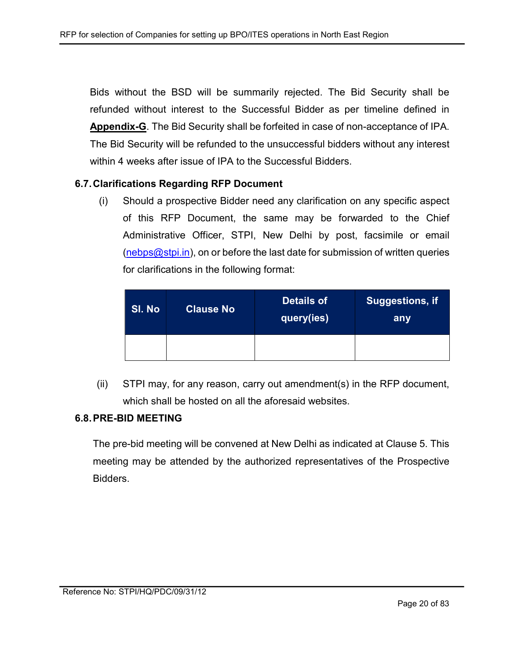Bids without the BSD will be summarily rejected. The Bid Security shall be refunded without interest to the Successful Bidder as per timeline defined in Appendix-G. The Bid Security shall be forfeited in case of non-acceptance of IPA. The Bid Security will be refunded to the unsuccessful bidders without any interest within 4 weeks after issue of IPA to the Successful Bidders.

#### 6.7. Clarifications Regarding RFP Document

(i) Should a prospective Bidder need any clarification on any specific aspect of this RFP Document, the same may be forwarded to the Chief Administrative Officer, STPI, New Delhi by post, facsimile or email  $(nebps@stpi.in)$ , on or before the last date for submission of written queries for clarifications in the following format:

| Sl. No | <b>Clause No</b> | <b>Details of</b><br>query(ies) | $\mid$ Suggestions, if $\mid$<br>any |  |
|--------|------------------|---------------------------------|--------------------------------------|--|
|        |                  |                                 |                                      |  |

(ii) STPI may, for any reason, carry out amendment(s) in the RFP document, which shall be hosted on all the aforesaid websites.

#### 6.8. PRE-BID MEETING

The pre-bid meeting will be convened at New Delhi as indicated at Clause 5. This meeting may be attended by the authorized representatives of the Prospective Bidders.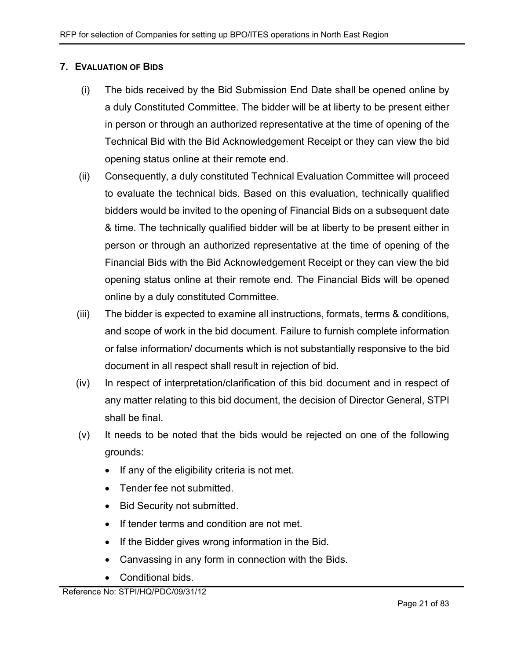#### 7. EVALUATION OF BIDS

- (i) The bids received by the Bid Submission End Date shall be opened online by a duly Constituted Committee. The bidder will be at liberty to be present either in person or through an authorized representative at the time of opening of the Technical Bid with the Bid Acknowledgement Receipt or they can view the bid opening status online at their remote end.
- (ii) Consequently, a duly constituted Technical Evaluation Committee will proceed to evaluate the technical bids. Based on this evaluation, technically qualified bidders would be invited to the opening of Financial Bids on a subsequent date & time. The technically qualified bidder will be at liberty to be present either in person or through an authorized representative at the time of opening of the Financial Bids with the Bid Acknowledgement Receipt or they can view the bid opening status online at their remote end. The Financial Bids will be opened online by a duly constituted Committee.
- (iii) The bidder is expected to examine all instructions, formats, terms & conditions, and scope of work in the bid document. Failure to furnish complete information or false information/ documents which is not substantially responsive to the bid document in all respect shall result in rejection of bid.
- (iv) In respect of interpretation/clarification of this bid document and in respect of any matter relating to this bid document, the decision of Director General, STPI shall be final.
- (v) It needs to be noted that the bids would be rejected on one of the following grounds:
	- If any of the eligibility criteria is not met.
	- Tender fee not submitted.
	- Bid Security not submitted.
	- If tender terms and condition are not met.
	- If the Bidder gives wrong information in the Bid.
	- Canvassing in any form in connection with the Bids.
	- Conditional bids.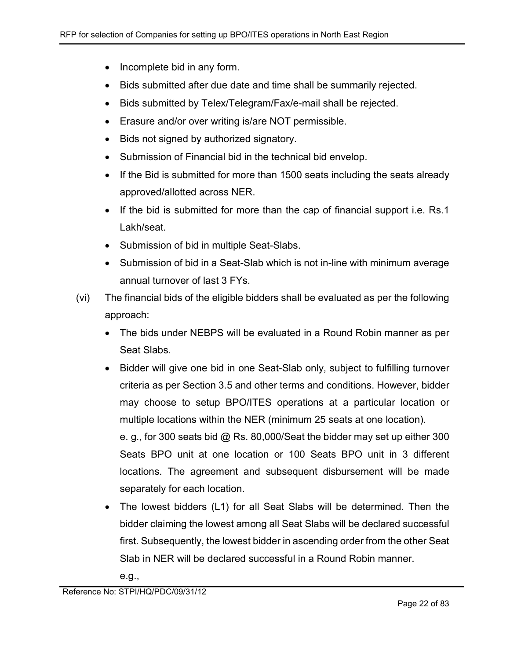- Incomplete bid in any form.
- Bids submitted after due date and time shall be summarily rejected.
- Bids submitted by Telex/Telegram/Fax/e-mail shall be rejected.
- Erasure and/or over writing is/are NOT permissible.
- Bids not signed by authorized signatory.
- Submission of Financial bid in the technical bid envelop.
- If the Bid is submitted for more than 1500 seats including the seats already approved/allotted across NER.
- If the bid is submitted for more than the cap of financial support i.e. Rs.1 Lakh/seat.
- Submission of bid in multiple Seat-Slabs.
- Submission of bid in a Seat-Slab which is not in-line with minimum average annual turnover of last 3 FYs.
- (vi) The financial bids of the eligible bidders shall be evaluated as per the following approach:
	- The bids under NEBPS will be evaluated in a Round Robin manner as per Seat Slabs.
	- Bidder will give one bid in one Seat-Slab only, subject to fulfilling turnover criteria as per Section 3.5 and other terms and conditions. However, bidder may choose to setup BPO/ITES operations at a particular location or multiple locations within the NER (minimum 25 seats at one location).

e. g., for 300 seats bid @ Rs. 80,000/Seat the bidder may set up either 300 Seats BPO unit at one location or 100 Seats BPO unit in 3 different locations. The agreement and subsequent disbursement will be made separately for each location.

 The lowest bidders (L1) for all Seat Slabs will be determined. Then the bidder claiming the lowest among all Seat Slabs will be declared successful first. Subsequently, the lowest bidder in ascending order from the other Seat Slab in NER will be declared successful in a Round Robin manner.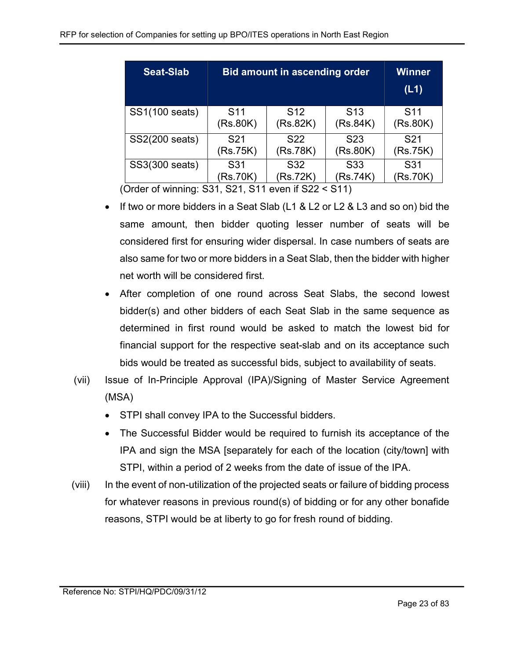| <b>Seat-Slab</b> | <b>Bid amount in ascending order</b>                       | Winner<br>(L1)  |                             |                             |
|------------------|------------------------------------------------------------|-----------------|-----------------------------|-----------------------------|
| SS1(100 seats)   | S <sub>11</sub><br>S <sub>12</sub><br>(Rs.82K)<br>(Rs.80K) |                 | S <sub>13</sub><br>(Rs.84K) | S <sub>11</sub><br>(Rs.80K) |
| SS2(200 seats)   | S <sub>21</sub>                                            | S <sub>22</sub> | S <sub>2</sub> 3            | S <sub>21</sub>             |
|                  | (Rs.75K)                                                   | (Rs.78K)        | (Rs.80K)                    | (Rs.75K)                    |
| SS3(300 seats)   | S31                                                        | S32             | S <sub>33</sub>             | S31                         |
|                  | (Rs.70K)                                                   | (Rs.72K)        | (Rs.74K)                    | (Rs.70K)                    |

(Order of winning: S31, S21, S11 even if S22 < S11)

- If two or more bidders in a Seat Slab (L1 & L2 or L2 & L3 and so on) bid the same amount, then bidder quoting lesser number of seats will be considered first for ensuring wider dispersal. In case numbers of seats are also same for two or more bidders in a Seat Slab, then the bidder with higher net worth will be considered first.
- After completion of one round across Seat Slabs, the second lowest bidder(s) and other bidders of each Seat Slab in the same sequence as determined in first round would be asked to match the lowest bid for financial support for the respective seat-slab and on its acceptance such bids would be treated as successful bids, subject to availability of seats.
- (vii) Issue of In-Principle Approval (IPA)/Signing of Master Service Agreement (MSA)
	- STPI shall convey IPA to the Successful bidders.
	- The Successful Bidder would be required to furnish its acceptance of the IPA and sign the MSA [separately for each of the location (city/town] with STPI, within a period of 2 weeks from the date of issue of the IPA.
- (viii) In the event of non-utilization of the projected seats or failure of bidding process for whatever reasons in previous round(s) of bidding or for any other bonafide reasons, STPI would be at liberty to go for fresh round of bidding.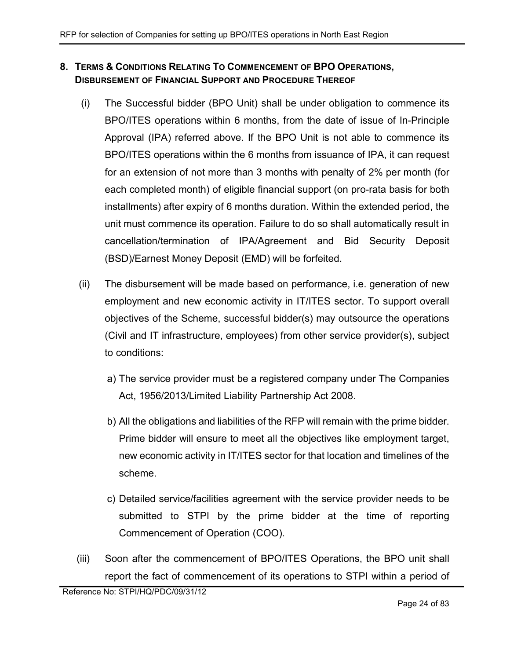## 8. TERMS & CONDITIONS RELATING TO COMMENCEMENT OF BPO OPERATIONS, DISBURSEMENT OF FINANCIAL SUPPORT AND PROCEDURE THEREOF

- (i) The Successful bidder (BPO Unit) shall be under obligation to commence its BPO/ITES operations within 6 months, from the date of issue of In-Principle Approval (IPA) referred above. If the BPO Unit is not able to commence its BPO/ITES operations within the 6 months from issuance of IPA, it can request for an extension of not more than 3 months with penalty of 2% per month (for each completed month) of eligible financial support (on pro-rata basis for both installments) after expiry of 6 months duration. Within the extended period, the unit must commence its operation. Failure to do so shall automatically result in cancellation/termination of IPA/Agreement and Bid Security Deposit (BSD)/Earnest Money Deposit (EMD) will be forfeited.
- (ii) The disbursement will be made based on performance, i.e. generation of new employment and new economic activity in IT/ITES sector. To support overall objectives of the Scheme, successful bidder(s) may outsource the operations (Civil and IT infrastructure, employees) from other service provider(s), subject to conditions:
	- a) The service provider must be a registered company under The Companies Act, 1956/2013/Limited Liability Partnership Act 2008.
	- b) All the obligations and liabilities of the RFP will remain with the prime bidder. Prime bidder will ensure to meet all the objectives like employment target, new economic activity in IT/ITES sector for that location and timelines of the scheme.
	- c) Detailed service/facilities agreement with the service provider needs to be submitted to STPI by the prime bidder at the time of reporting Commencement of Operation (COO).
- (iii) Soon after the commencement of BPO/ITES Operations, the BPO unit shall report the fact of commencement of its operations to STPI within a period of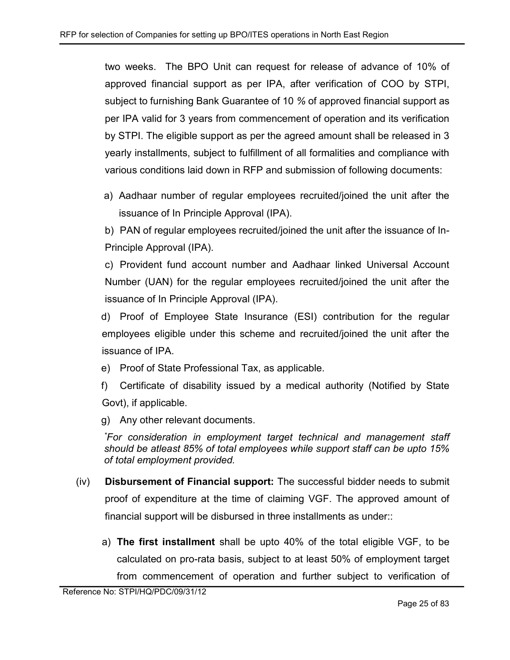two weeks. The BPO Unit can request for release of advance of 10% of approved financial support as per IPA, after verification of COO by STPI, subject to furnishing Bank Guarantee of 10 % of approved financial support as per IPA valid for 3 years from commencement of operation and its verification by STPI. The eligible support as per the agreed amount shall be released in 3 yearly installments, subject to fulfillment of all formalities and compliance with various conditions laid down in RFP and submission of following documents:

a) Aadhaar number of regular employees recruited/joined the unit after the issuance of In Principle Approval (IPA).

b) PAN of regular employees recruited/joined the unit after the issuance of In-Principle Approval (IPA).

c) Provident fund account number and Aadhaar linked Universal Account Number (UAN) for the regular employees recruited/joined the unit after the issuance of In Principle Approval (IPA).

d) Proof of Employee State Insurance (ESI) contribution for the regular employees eligible under this scheme and recruited/joined the unit after the issuance of IPA.

- e) Proof of State Professional Tax, as applicable.
- f) Certificate of disability issued by a medical authority (Notified by State Govt), if applicable.

g) Any other relevant documents.

\*For consideration in employment target technical and management staff should be atleast 85% of total employees while support staff can be upto 15% of total employment provided.

- (iv) Disbursement of Financial support: The successful bidder needs to submit proof of expenditure at the time of claiming VGF. The approved amount of financial support will be disbursed in three installments as under::
	- a) The first installment shall be upto 40% of the total eligible VGF, to be calculated on pro-rata basis, subject to at least 50% of employment target from commencement of operation and further subject to verification of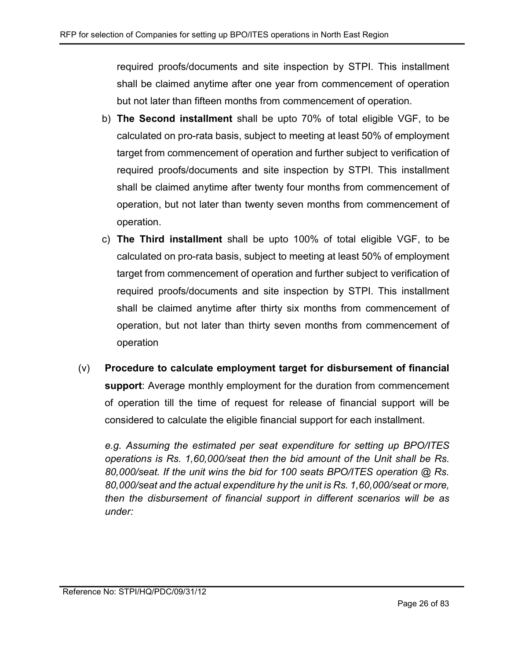required proofs/documents and site inspection by STPI. This installment shall be claimed anytime after one year from commencement of operation but not later than fifteen months from commencement of operation.

- b) The Second installment shall be upto 70% of total eligible VGF, to be calculated on pro-rata basis, subject to meeting at least 50% of employment target from commencement of operation and further subject to verification of required proofs/documents and site inspection by STPI. This installment shall be claimed anytime after twenty four months from commencement of operation, but not later than twenty seven months from commencement of operation.
- c) The Third installment shall be upto 100% of total eligible VGF, to be calculated on pro-rata basis, subject to meeting at least 50% of employment target from commencement of operation and further subject to verification of required proofs/documents and site inspection by STPI. This installment shall be claimed anytime after thirty six months from commencement of operation, but not later than thirty seven months from commencement of operation
- $(v)$  Procedure to calculate employment target for disbursement of financial support: Average monthly employment for the duration from commencement of operation till the time of request for release of financial support will be considered to calculate the eligible financial support for each installment.

e.g. Assuming the estimated per seat expenditure for setting up BPO/ITES operations is Rs. 1,60,000/seat then the bid amount of the Unit shall be Rs. 80,000/seat. If the unit wins the bid for 100 seats BPO/ITES operation @ Rs. 80,000/seat and the actual expenditure hy the unit is Rs. 1,60,000/seat or more, then the disbursement of financial support in different scenarios will be as under: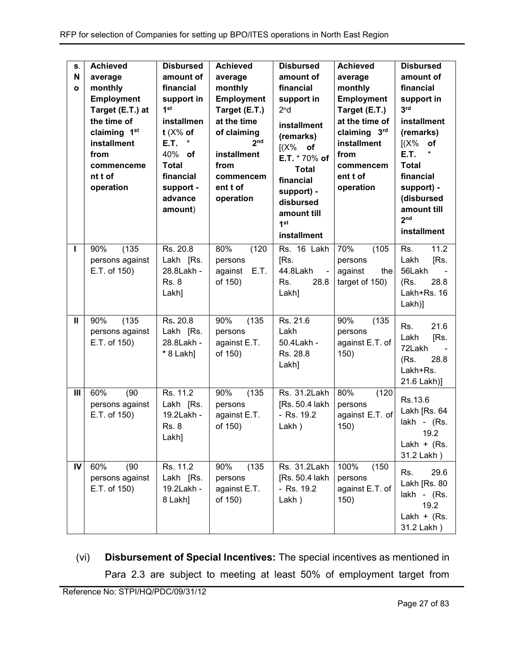| S.<br>$\mathbf N$<br>$\mathbf{o}$<br>Т | <b>Achieved</b><br>average<br>monthly<br><b>Employment</b><br>Target (E.T.) at<br>the time of<br>claiming 1 <sup>st</sup><br>installment<br>from<br>commenceme<br>nt t of<br>operation<br>(135)<br>90% | <b>Disbursed</b><br>amount of<br>financial<br>support in<br>1 <sup>st</sup><br>installmen<br>t $(X\%$ of<br>E.T.<br>*<br>40% of<br><b>Total</b><br>financial<br>support -<br>advance<br>amount)<br>Rs. 20.8 | <b>Achieved</b><br>average<br>monthly<br><b>Employment</b><br>Target (E.T.)<br>at the time<br>of claiming<br>2 <sub>nd</sub><br>installment<br>from<br>commencem<br>ent t of<br>operation<br>80%<br>(120) | <b>Disbursed</b><br>amount of<br>financial<br>support in<br>2 <sup>n</sup> d<br>installment<br>(remarks)<br>$[(X\%$ of<br>E.T. * 70% of<br><b>Total</b><br>financial<br>support) -<br>disbursed<br>amount till<br>1 <sup>st</sup><br>installment<br>Rs. 16 Lakh | <b>Achieved</b><br>average<br>monthly<br><b>Employment</b><br>Target (E.T.)<br>at the time of<br>claiming 3rd<br>installment<br>from<br>commencem<br>ent t of<br>operation<br>70%<br>(105) | <b>Disbursed</b><br>amount of<br>financial<br>support in<br>3 <sup>rd</sup><br>installment<br>(remarks)<br>I(X%<br>of<br><b>E.T.</b><br>*<br><b>Total</b><br>financial<br>support) -<br>(disbursed<br>amount till<br>2 <sub>nd</sub><br>installment<br>11.2<br>Rs. |
|----------------------------------------|--------------------------------------------------------------------------------------------------------------------------------------------------------------------------------------------------------|-------------------------------------------------------------------------------------------------------------------------------------------------------------------------------------------------------------|-----------------------------------------------------------------------------------------------------------------------------------------------------------------------------------------------------------|-----------------------------------------------------------------------------------------------------------------------------------------------------------------------------------------------------------------------------------------------------------------|--------------------------------------------------------------------------------------------------------------------------------------------------------------------------------------------|--------------------------------------------------------------------------------------------------------------------------------------------------------------------------------------------------------------------------------------------------------------------|
|                                        | persons against<br>E.T. of 150)                                                                                                                                                                        | Lakh [Rs.<br>28.8Lakh -<br><b>Rs. 8</b><br>Lakh]                                                                                                                                                            | persons<br>E.T.<br>against<br>of 150)                                                                                                                                                                     | [Rs.<br>44.8Lakh<br>$\omega$<br>Rs.<br>28.8<br>Lakh]                                                                                                                                                                                                            | persons<br>against<br>the<br>target of 150)                                                                                                                                                | [Rs.<br>Lakh<br>56Lakh<br>(Rs.<br>28.8<br>Lakh+Rs. 16<br>$Lakh$ ]                                                                                                                                                                                                  |
| Ш                                      | (135)<br>90%<br>persons against<br>E.T. of 150)                                                                                                                                                        | Rs. 20.8<br>Lakh [Rs.<br>28.8Lakh -<br>* 8 Lakh]                                                                                                                                                            | 90%<br>(135)<br>persons<br>against E.T.<br>of 150)                                                                                                                                                        | Rs. 21.6<br>Lakh<br>50.4Lakh -<br>Rs. 28.8<br>Lakh]                                                                                                                                                                                                             | 90%<br>(135)<br>persons<br>against E.T. of<br>150)                                                                                                                                         | 21.6<br>Rs.<br>Lakh<br>[Rs.<br>72Lakh<br>(Rs.<br>28.8<br>Lakh+Rs.<br>21.6 Lakh)]                                                                                                                                                                                   |
| $\mathbf{III}$                         | (90)<br>60%<br>persons against<br>E.T. of 150)                                                                                                                                                         | Rs. 11.2<br>Lakh [Rs.<br>19.2Lakh -<br><b>Rs. 8</b><br>Lakh]                                                                                                                                                | 90%<br>(135)<br>persons<br>against E.T.<br>of 150)                                                                                                                                                        | Rs. 31.2Lakh<br>[Rs. 50.4 lakh<br>- Rs. 19.2<br>Lakh)                                                                                                                                                                                                           | 80%<br>(120)<br>persons<br>against E.T. of<br>150)                                                                                                                                         | Rs.13.6<br>Lakh [Rs. 64<br>lakh - (Rs.<br>19.2<br>Lakh $+$ (Rs.<br>31.2 Lakh)                                                                                                                                                                                      |
| IV                                     | 60%<br>(90)<br>persons against<br>E.T. of 150)                                                                                                                                                         | Rs. 11.2<br>Lakh [Rs.<br>19.2Lakh -<br>8 Lakh]                                                                                                                                                              | 90%<br>(135)<br>persons<br>against E.T.<br>of 150)                                                                                                                                                        | Rs. 31.2Lakh<br>[Rs. 50.4 lakh<br>- Rs. 19.2<br>Lakh)                                                                                                                                                                                                           | 100%<br>(150)<br>persons<br>against E.T. of<br>150)                                                                                                                                        | 29.6<br>Rs.<br>Lakh [Rs. 80<br>lakh - (Rs.<br>19.2<br>Lakh + $(Rs.$<br>31.2 Lakh)                                                                                                                                                                                  |

(vi) Disbursement of Special Incentives: The special incentives as mentioned in Para 2.3 are subject to meeting at least 50% of employment target from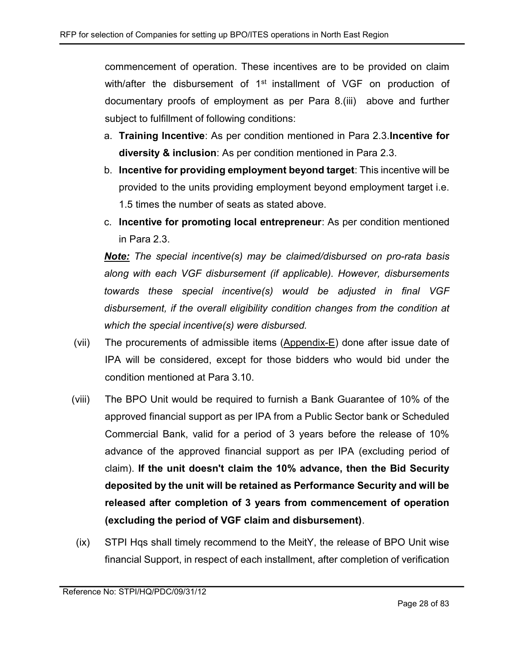commencement of operation. These incentives are to be provided on claim with/after the disbursement of 1<sup>st</sup> installment of VGF on production of documentary proofs of employment as per Para 8.(iii) above and further subject to fulfillment of following conditions:

- a. Training Incentive: As per condition mentioned in Para 2.3.Incentive for diversity & inclusion: As per condition mentioned in Para 2.3.
- b. Incentive for providing employment beyond target: This incentive will be provided to the units providing employment beyond employment target i.e. 1.5 times the number of seats as stated above.
- c. Incentive for promoting local entrepreneur: As per condition mentioned in Para 2.3.

Note: The special incentive(s) may be claimed/disbursed on pro-rata basis along with each VGF disbursement (if applicable). However, disbursements towards these special incentive(s) would be adjusted in final VGF disbursement, if the overall eligibility condition changes from the condition at which the special incentive(s) were disbursed.

- (vii) The procurements of admissible items (Appendix-E) done after issue date of IPA will be considered, except for those bidders who would bid under the condition mentioned at Para 3.10.
- (viii) The BPO Unit would be required to furnish a Bank Guarantee of 10% of the approved financial support as per IPA from a Public Sector bank or Scheduled Commercial Bank, valid for a period of 3 years before the release of 10% advance of the approved financial support as per IPA (excluding period of claim). If the unit doesn't claim the 10% advance, then the Bid Security deposited by the unit will be retained as Performance Security and will be released after completion of 3 years from commencement of operation (excluding the period of VGF claim and disbursement).
- (ix) STPI Hqs shall timely recommend to the MeitY, the release of BPO Unit wise financial Support, in respect of each installment, after completion of verification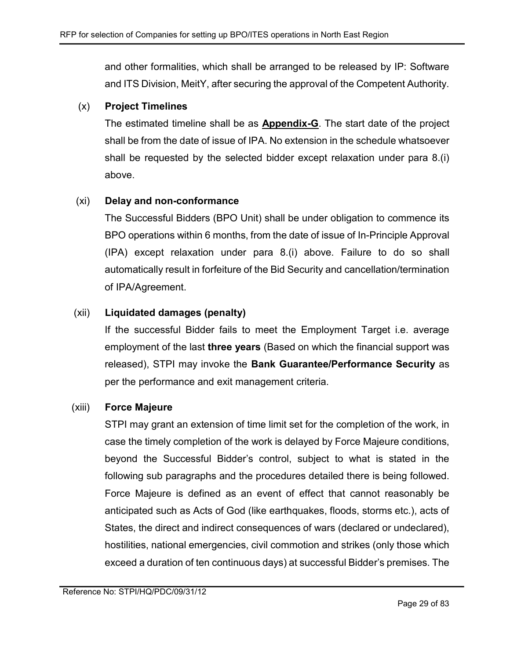and other formalities, which shall be arranged to be released by IP: Software and ITS Division, MeitY, after securing the approval of the Competent Authority.

#### (x) Project Timelines

The estimated timeline shall be as **Appendix-G**. The start date of the project shall be from the date of issue of IPA. No extension in the schedule whatsoever shall be requested by the selected bidder except relaxation under para 8.(i) above.

#### (xi) Delay and non-conformance

The Successful Bidders (BPO Unit) shall be under obligation to commence its BPO operations within 6 months, from the date of issue of In-Principle Approval (IPA) except relaxation under para 8.(i) above. Failure to do so shall automatically result in forfeiture of the Bid Security and cancellation/termination of IPA/Agreement.

## (xii) Liquidated damages (penalty)

If the successful Bidder fails to meet the Employment Target i.e. average employment of the last **three years** (Based on which the financial support was released), STPI may invoke the Bank Guarantee/Performance Security as per the performance and exit management criteria.

#### (xiii) Force Majeure

STPI may grant an extension of time limit set for the completion of the work, in case the timely completion of the work is delayed by Force Majeure conditions, beyond the Successful Bidder's control, subject to what is stated in the following sub paragraphs and the procedures detailed there is being followed. Force Majeure is defined as an event of effect that cannot reasonably be anticipated such as Acts of God (like earthquakes, floods, storms etc.), acts of States, the direct and indirect consequences of wars (declared or undeclared), hostilities, national emergencies, civil commotion and strikes (only those which exceed a duration of ten continuous days) at successful Bidder's premises. The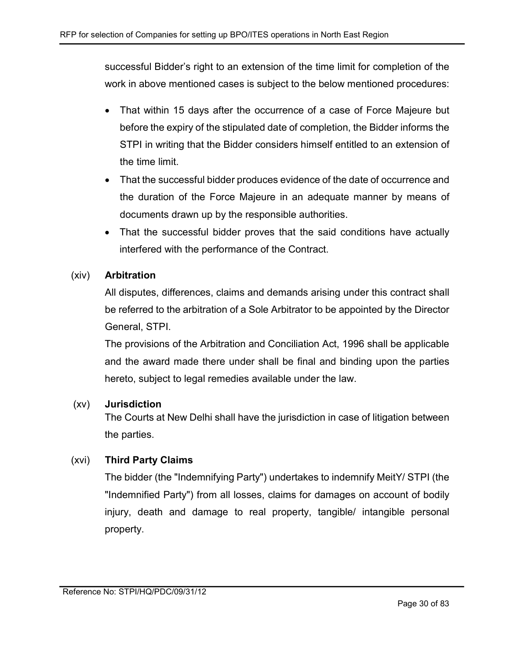successful Bidder's right to an extension of the time limit for completion of the work in above mentioned cases is subject to the below mentioned procedures:

- That within 15 days after the occurrence of a case of Force Majeure but before the expiry of the stipulated date of completion, the Bidder informs the STPI in writing that the Bidder considers himself entitled to an extension of the time limit.
- That the successful bidder produces evidence of the date of occurrence and the duration of the Force Majeure in an adequate manner by means of documents drawn up by the responsible authorities.
- That the successful bidder proves that the said conditions have actually interfered with the performance of the Contract.

#### (xiv) Arbitration

All disputes, differences, claims and demands arising under this contract shall be referred to the arbitration of a Sole Arbitrator to be appointed by the Director General, STPI.

The provisions of the Arbitration and Conciliation Act, 1996 shall be applicable and the award made there under shall be final and binding upon the parties hereto, subject to legal remedies available under the law.

#### (xv) Jurisdiction

The Courts at New Delhi shall have the jurisdiction in case of litigation between the parties.

## (xvi) Third Party Claims

The bidder (the "Indemnifying Party") undertakes to indemnify MeitY/ STPI (the "Indemnified Party") from all losses, claims for damages on account of bodily injury, death and damage to real property, tangible/ intangible personal property.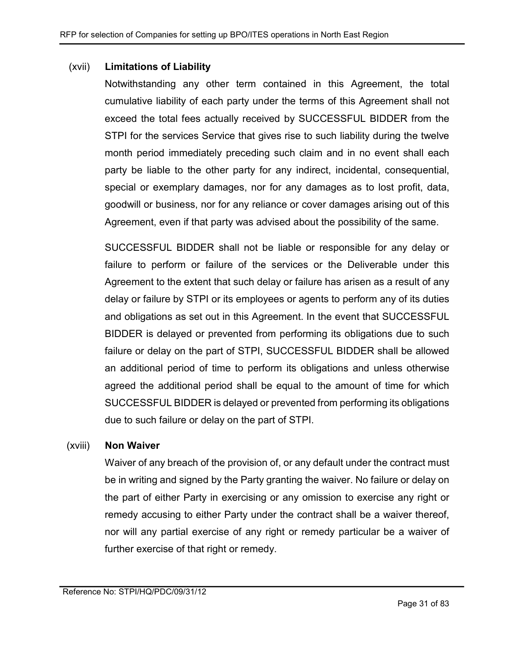#### (xvii) Limitations of Liability

Notwithstanding any other term contained in this Agreement, the total cumulative liability of each party under the terms of this Agreement shall not exceed the total fees actually received by SUCCESSFUL BIDDER from the STPI for the services Service that gives rise to such liability during the twelve month period immediately preceding such claim and in no event shall each party be liable to the other party for any indirect, incidental, consequential, special or exemplary damages, nor for any damages as to lost profit, data, goodwill or business, nor for any reliance or cover damages arising out of this Agreement, even if that party was advised about the possibility of the same.

SUCCESSFUL BIDDER shall not be liable or responsible for any delay or failure to perform or failure of the services or the Deliverable under this Agreement to the extent that such delay or failure has arisen as a result of any delay or failure by STPI or its employees or agents to perform any of its duties and obligations as set out in this Agreement. In the event that SUCCESSFUL BIDDER is delayed or prevented from performing its obligations due to such failure or delay on the part of STPI, SUCCESSFUL BIDDER shall be allowed an additional period of time to perform its obligations and unless otherwise agreed the additional period shall be equal to the amount of time for which SUCCESSFUL BIDDER is delayed or prevented from performing its obligations due to such failure or delay on the part of STPI.

#### (xviii) Non Waiver

Waiver of any breach of the provision of, or any default under the contract must be in writing and signed by the Party granting the waiver. No failure or delay on the part of either Party in exercising or any omission to exercise any right or remedy accusing to either Party under the contract shall be a waiver thereof, nor will any partial exercise of any right or remedy particular be a waiver of further exercise of that right or remedy.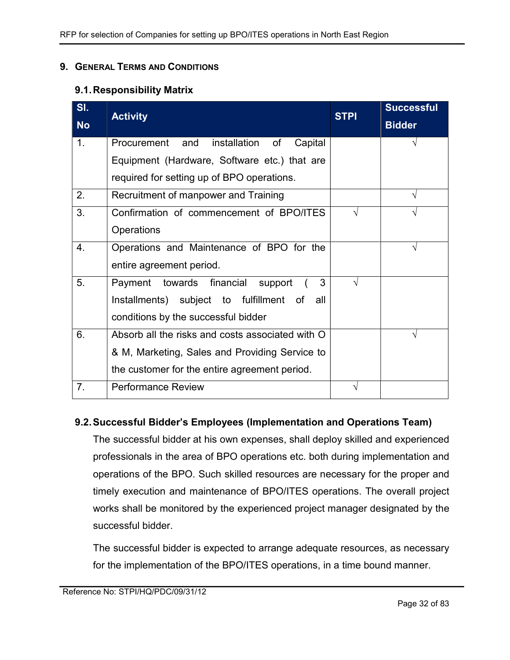#### 9. GENERAL TERMS AND CONDITIONS

#### 9.1. Responsibility Matrix

| <b>Activity</b>                                  | <b>STPI</b> | <b>Successful</b> |
|--------------------------------------------------|-------------|-------------------|
|                                                  |             | <b>Bidder</b>     |
| Procurement and<br>installation of<br>Capital    |             | V                 |
| Equipment (Hardware, Software etc.) that are     |             |                   |
| required for setting up of BPO operations.       |             |                   |
| Recruitment of manpower and Training             |             |                   |
| Confirmation of commencement of BPO/ITES         | $\sqrt{ }$  |                   |
| Operations                                       |             |                   |
| Operations and Maintenance of BPO for the        |             | V                 |
| entire agreement period.                         |             |                   |
| Payment towards financial support<br>3           | $\sqrt{ }$  |                   |
| Installments) subject to fulfillment of<br>all   |             |                   |
| conditions by the successful bidder              |             |                   |
| Absorb all the risks and costs associated with O |             | V                 |
| & M, Marketing, Sales and Providing Service to   |             |                   |
| the customer for the entire agreement period.    |             |                   |
| <b>Performance Review</b>                        | V           |                   |
|                                                  |             |                   |

#### 9.2. Successful Bidder's Employees (Implementation and Operations Team)

The successful bidder at his own expenses, shall deploy skilled and experienced professionals in the area of BPO operations etc. both during implementation and operations of the BPO. Such skilled resources are necessary for the proper and timely execution and maintenance of BPO/ITES operations. The overall project works shall be monitored by the experienced project manager designated by the successful bidder.

The successful bidder is expected to arrange adequate resources, as necessary for the implementation of the BPO/ITES operations, in a time bound manner.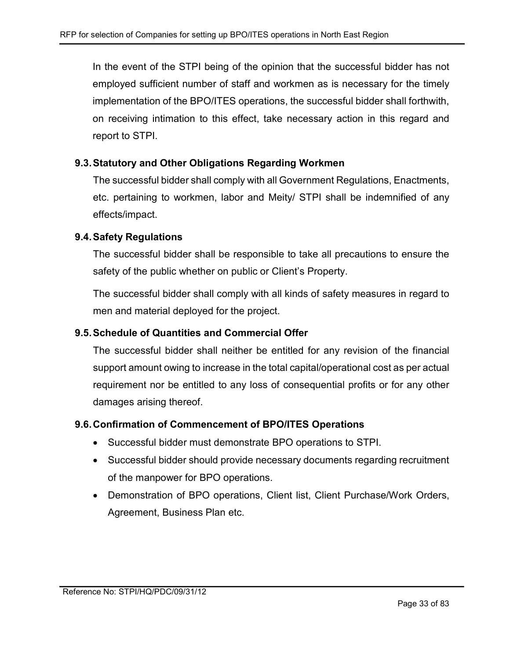In the event of the STPI being of the opinion that the successful bidder has not employed sufficient number of staff and workmen as is necessary for the timely implementation of the BPO/ITES operations, the successful bidder shall forthwith, on receiving intimation to this effect, take necessary action in this regard and report to STPI.

#### 9.3. Statutory and Other Obligations Regarding Workmen

The successful bidder shall comply with all Government Regulations, Enactments, etc. pertaining to workmen, labor and Meity/ STPI shall be indemnified of any effects/impact.

#### 9.4. Safety Regulations

The successful bidder shall be responsible to take all precautions to ensure the safety of the public whether on public or Client's Property.

The successful bidder shall comply with all kinds of safety measures in regard to men and material deployed for the project.

#### 9.5. Schedule of Quantities and Commercial Offer

The successful bidder shall neither be entitled for any revision of the financial support amount owing to increase in the total capital/operational cost as per actual requirement nor be entitled to any loss of consequential profits or for any other damages arising thereof.

#### 9.6. Confirmation of Commencement of BPO/ITES Operations

- Successful bidder must demonstrate BPO operations to STPI.
- Successful bidder should provide necessary documents regarding recruitment of the manpower for BPO operations.
- Demonstration of BPO operations, Client list, Client Purchase/Work Orders, Agreement, Business Plan etc.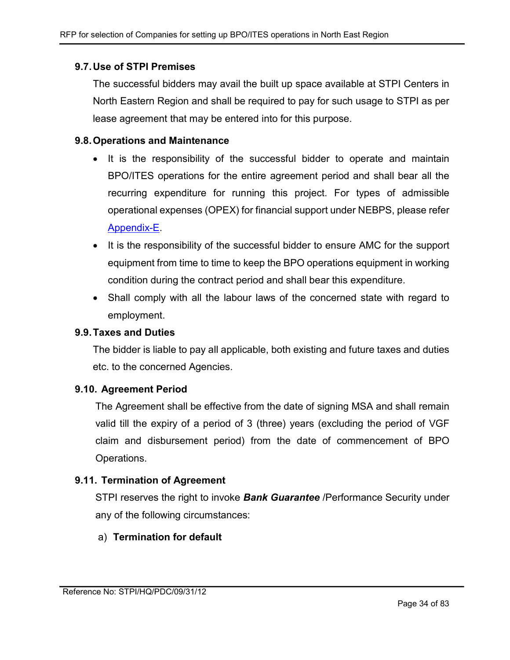#### 9.7. Use of STPI Premises

The successful bidders may avail the built up space available at STPI Centers in North Eastern Region and shall be required to pay for such usage to STPI as per lease agreement that may be entered into for this purpose.

#### 9.8. Operations and Maintenance

- It is the responsibility of the successful bidder to operate and maintain BPO/ITES operations for the entire agreement period and shall bear all the recurring expenditure for running this project. For types of admissible operational expenses (OPEX) for financial support under NEBPS, please refer Appendix-E.
- It is the responsibility of the successful bidder to ensure AMC for the support equipment from time to time to keep the BPO operations equipment in working condition during the contract period and shall bear this expenditure.
- Shall comply with all the labour laws of the concerned state with regard to employment.

#### 9.9. Taxes and Duties

The bidder is liable to pay all applicable, both existing and future taxes and duties etc. to the concerned Agencies.

#### 9.10. Agreement Period

The Agreement shall be effective from the date of signing MSA and shall remain valid till the expiry of a period of 3 (three) years (excluding the period of VGF claim and disbursement period) from the date of commencement of BPO Operations.

#### 9.11. Termination of Agreement

STPI reserves the right to invoke **Bank Guarantee** / Performance Security under any of the following circumstances:

#### a) Termination for default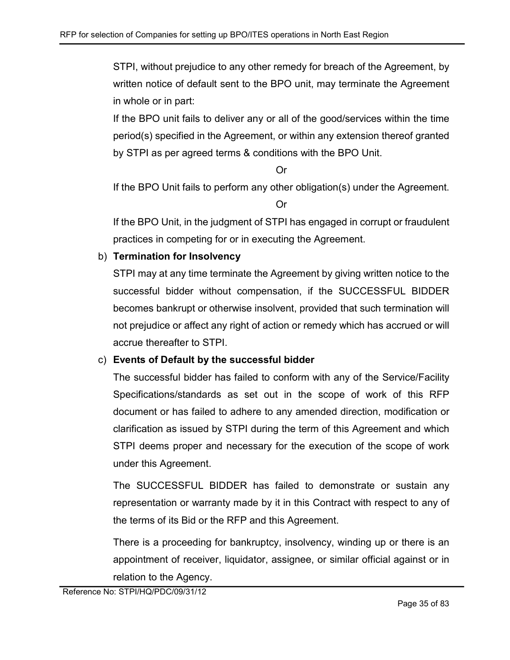STPI, without prejudice to any other remedy for breach of the Agreement, by written notice of default sent to the BPO unit, may terminate the Agreement in whole or in part:

If the BPO unit fails to deliver any or all of the good/services within the time period(s) specified in the Agreement, or within any extension thereof granted by STPI as per agreed terms & conditions with the BPO Unit.

Or

If the BPO Unit fails to perform any other obligation(s) under the Agreement.

Or

If the BPO Unit, in the judgment of STPI has engaged in corrupt or fraudulent practices in competing for or in executing the Agreement.

## b) Termination for Insolvency

STPI may at any time terminate the Agreement by giving written notice to the successful bidder without compensation, if the SUCCESSFUL BIDDER becomes bankrupt or otherwise insolvent, provided that such termination will not prejudice or affect any right of action or remedy which has accrued or will accrue thereafter to STPI.

## c) Events of Default by the successful bidder

The successful bidder has failed to conform with any of the Service/Facility Specifications/standards as set out in the scope of work of this RFP document or has failed to adhere to any amended direction, modification or clarification as issued by STPI during the term of this Agreement and which STPI deems proper and necessary for the execution of the scope of work under this Agreement.

The SUCCESSFUL BIDDER has failed to demonstrate or sustain any representation or warranty made by it in this Contract with respect to any of the terms of its Bid or the RFP and this Agreement.

There is a proceeding for bankruptcy, insolvency, winding up or there is an appointment of receiver, liquidator, assignee, or similar official against or in relation to the Agency.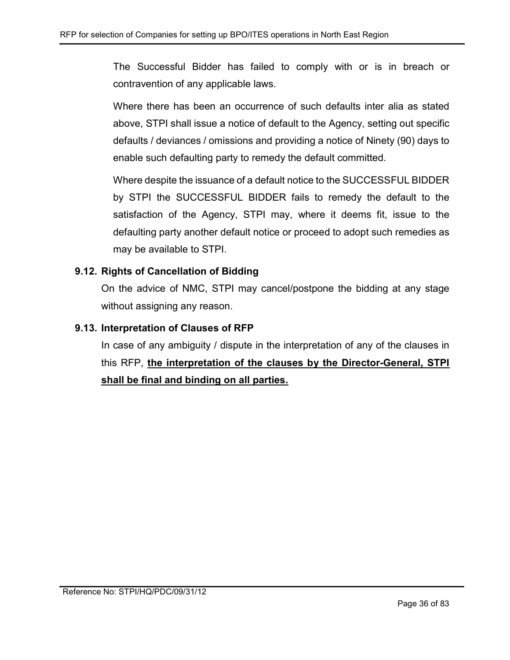The Successful Bidder has failed to comply with or is in breach or contravention of any applicable laws.

Where there has been an occurrence of such defaults inter alia as stated above, STPI shall issue a notice of default to the Agency, setting out specific defaults / deviances / omissions and providing a notice of Ninety (90) days to enable such defaulting party to remedy the default committed.

Where despite the issuance of a default notice to the SUCCESSFUL BIDDER by STPI the SUCCESSFUL BIDDER fails to remedy the default to the satisfaction of the Agency, STPI may, where it deems fit, issue to the defaulting party another default notice or proceed to adopt such remedies as may be available to STPI.

## 9.12. Rights of Cancellation of Bidding

On the advice of NMC, STPI may cancel/postpone the bidding at any stage without assigning any reason.

## 9.13. Interpretation of Clauses of RFP

In case of any ambiguity / dispute in the interpretation of any of the clauses in this RFP, the interpretation of the clauses by the Director-General, STPI shall be final and binding on all parties.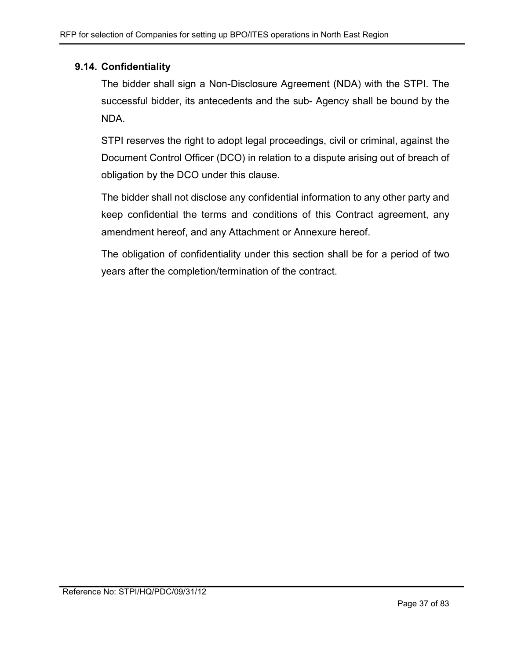## 9.14. Confidentiality

The bidder shall sign a Non-Disclosure Agreement (NDA) with the STPI. The successful bidder, its antecedents and the sub- Agency shall be bound by the NDA.

STPI reserves the right to adopt legal proceedings, civil or criminal, against the Document Control Officer (DCO) in relation to a dispute arising out of breach of obligation by the DCO under this clause.

The bidder shall not disclose any confidential information to any other party and keep confidential the terms and conditions of this Contract agreement, any amendment hereof, and any Attachment or Annexure hereof.

The obligation of confidentiality under this section shall be for a period of two years after the completion/termination of the contract.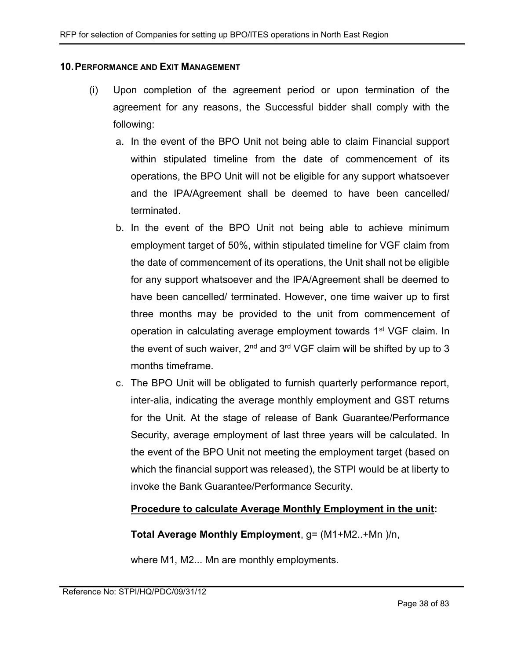#### 10. PERFORMANCE AND EXIT MANAGEMENT

- (i) Upon completion of the agreement period or upon termination of the agreement for any reasons, the Successful bidder shall comply with the following:
	- a. In the event of the BPO Unit not being able to claim Financial support within stipulated timeline from the date of commencement of its operations, the BPO Unit will not be eligible for any support whatsoever and the IPA/Agreement shall be deemed to have been cancelled/ terminated.
	- b. In the event of the BPO Unit not being able to achieve minimum employment target of 50%, within stipulated timeline for VGF claim from the date of commencement of its operations, the Unit shall not be eligible for any support whatsoever and the IPA/Agreement shall be deemed to have been cancelled/ terminated. However, one time waiver up to first three months may be provided to the unit from commencement of operation in calculating average employment towards 1<sup>st</sup> VGF claim. In the event of such waiver,  $2^{nd}$  and  $3^{rd}$  VGF claim will be shifted by up to 3 months timeframe.
	- c. The BPO Unit will be obligated to furnish quarterly performance report, inter-alia, indicating the average monthly employment and GST returns for the Unit. At the stage of release of Bank Guarantee/Performance Security, average employment of last three years will be calculated. In the event of the BPO Unit not meeting the employment target (based on which the financial support was released), the STPI would be at liberty to invoke the Bank Guarantee/Performance Security.

### Procedure to calculate Average Monthly Employment in the unit:

Total Average Monthly Employment, g= (M1+M2..+Mn )/n,

where M1, M2... Mn are monthly employments.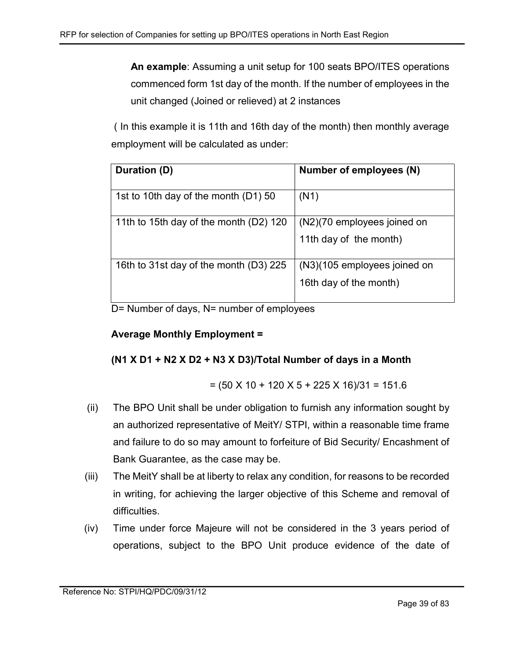An example: Assuming a unit setup for 100 seats BPO/ITES operations commenced form 1st day of the month. If the number of employees in the unit changed (Joined or relieved) at 2 instances

 ( In this example it is 11th and 16th day of the month) then monthly average employment will be calculated as under:

| Duration (D)                           | Number of employees (N)                                |
|----------------------------------------|--------------------------------------------------------|
| 1st to 10th day of the month (D1) 50   | (N1)                                                   |
| 11th to 15th day of the month (D2) 120 | (N2)(70 employees joined on<br>11th day of the month)  |
| 16th to 31st day of the month (D3) 225 | (N3)(105 employees joined on<br>16th day of the month) |

D= Number of days, N= number of employees

# Average Monthly Employment =

# (N1 X D1 + N2 X D2 + N3 X D3)/Total Number of days in a Month

$$
= (50 \times 10 + 120 \times 5 + 225 \times 16)/31 = 151.6
$$

- (ii) The BPO Unit shall be under obligation to furnish any information sought by an authorized representative of MeitY/ STPI, within a reasonable time frame and failure to do so may amount to forfeiture of Bid Security/ Encashment of Bank Guarantee, as the case may be.
- (iii) The MeitY shall be at liberty to relax any condition, for reasons to be recorded in writing, for achieving the larger objective of this Scheme and removal of difficulties.
- (iv) Time under force Majeure will not be considered in the 3 years period of operations, subject to the BPO Unit produce evidence of the date of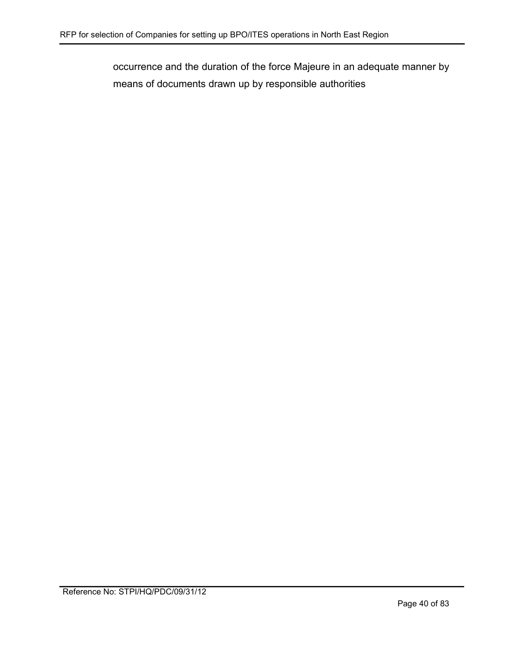occurrence and the duration of the force Majeure in an adequate manner by means of documents drawn up by responsible authorities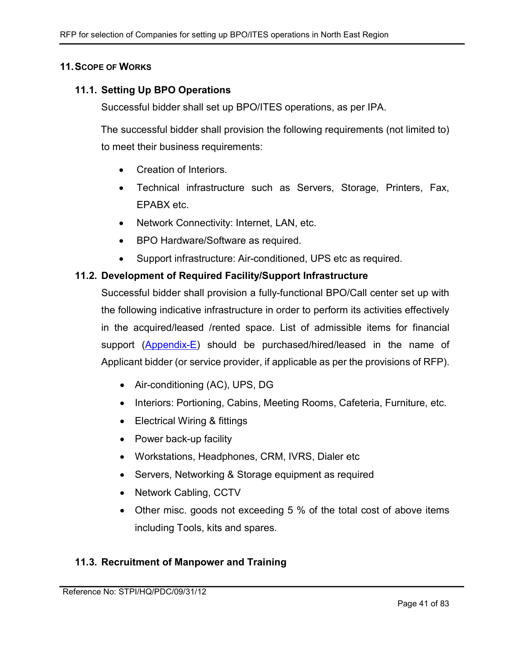### 11. SCOPE OF WORKS

### 11.1. Setting Up BPO Operations

Successful bidder shall set up BPO/ITES operations, as per IPA.

The successful bidder shall provision the following requirements (not limited to) to meet their business requirements:

- Creation of Interiors.
- Technical infrastructure such as Servers, Storage, Printers, Fax, EPABX etc.
- Network Connectivity: Internet, LAN, etc.
- BPO Hardware/Software as required.
- Support infrastructure: Air-conditioned, UPS etc as required.

### 11.2. Development of Required Facility/Support Infrastructure

Successful bidder shall provision a fully-functional BPO/Call center set up with the following indicative infrastructure in order to perform its activities effectively in the acquired/leased /rented space. List of admissible items for financial support (Appendix-E) should be purchased/hired/leased in the name of Applicant bidder (or service provider, if applicable as per the provisions of RFP).

- Air-conditioning (AC), UPS, DG
- Interiors: Portioning, Cabins, Meeting Rooms, Cafeteria, Furniture, etc.
- Electrical Wiring & fittings
- Power back-up facility
- Workstations, Headphones, CRM, IVRS, Dialer etc
- Servers, Networking & Storage equipment as required
- Network Cabling, CCTV
- Other misc. goods not exceeding 5 % of the total cost of above items including Tools, kits and spares.

### 11.3. Recruitment of Manpower and Training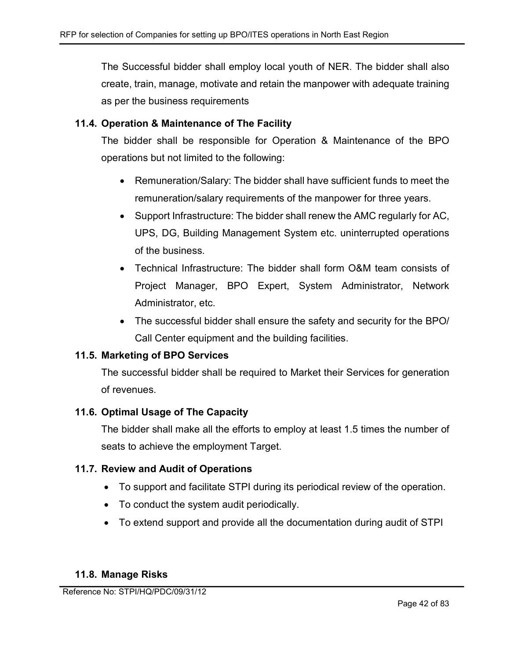The Successful bidder shall employ local youth of NER. The bidder shall also create, train, manage, motivate and retain the manpower with adequate training as per the business requirements

## 11.4. Operation & Maintenance of The Facility

The bidder shall be responsible for Operation & Maintenance of the BPO operations but not limited to the following:

- Remuneration/Salary: The bidder shall have sufficient funds to meet the remuneration/salary requirements of the manpower for three years.
- Support Infrastructure: The bidder shall renew the AMC regularly for AC, UPS, DG, Building Management System etc. uninterrupted operations of the business.
- Technical Infrastructure: The bidder shall form O&M team consists of Project Manager, BPO Expert, System Administrator, Network Administrator, etc.
- The successful bidder shall ensure the safety and security for the BPO/ Call Center equipment and the building facilities.

## 11.5. Marketing of BPO Services

The successful bidder shall be required to Market their Services for generation of revenues.

## 11.6. Optimal Usage of The Capacity

The bidder shall make all the efforts to employ at least 1.5 times the number of seats to achieve the employment Target.

## 11.7. Review and Audit of Operations

- To support and facilitate STPI during its periodical review of the operation.
- To conduct the system audit periodically.
- To extend support and provide all the documentation during audit of STPI

## 11.8. Manage Risks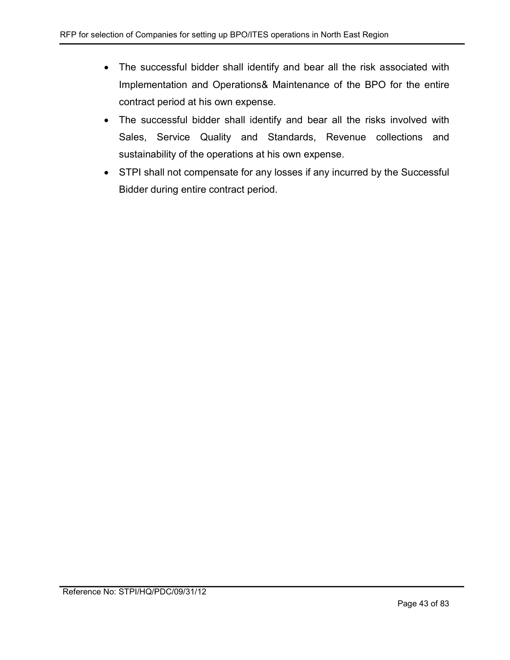- The successful bidder shall identify and bear all the risk associated with Implementation and Operations& Maintenance of the BPO for the entire contract period at his own expense.
- The successful bidder shall identify and bear all the risks involved with Sales, Service Quality and Standards, Revenue collections and sustainability of the operations at his own expense.
- STPI shall not compensate for any losses if any incurred by the Successful Bidder during entire contract period.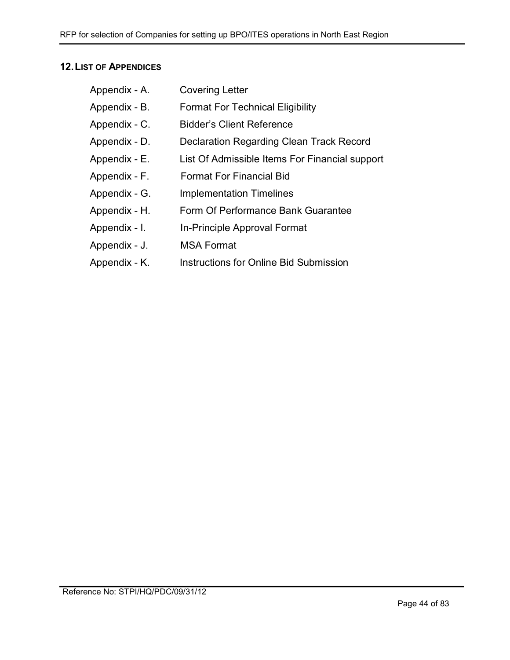## 12. LIST OF APPENDICES

| Appendix - A. | <b>Covering Letter</b>                         |
|---------------|------------------------------------------------|
| Appendix - B. | <b>Format For Technical Eligibility</b>        |
| Appendix - C. | <b>Bidder's Client Reference</b>               |
| Appendix - D. | Declaration Regarding Clean Track Record       |
| Appendix - E. | List Of Admissible Items For Financial support |
| Appendix - F. | <b>Format For Financial Bid</b>                |
| Appendix - G. | <b>Implementation Timelines</b>                |
| Appendix - H. | Form Of Performance Bank Guarantee             |
| Appendix - I. | In-Principle Approval Format                   |
| Appendix - J. | <b>MSA Format</b>                              |
|               |                                                |

Appendix - K. Instructions for Online Bid Submission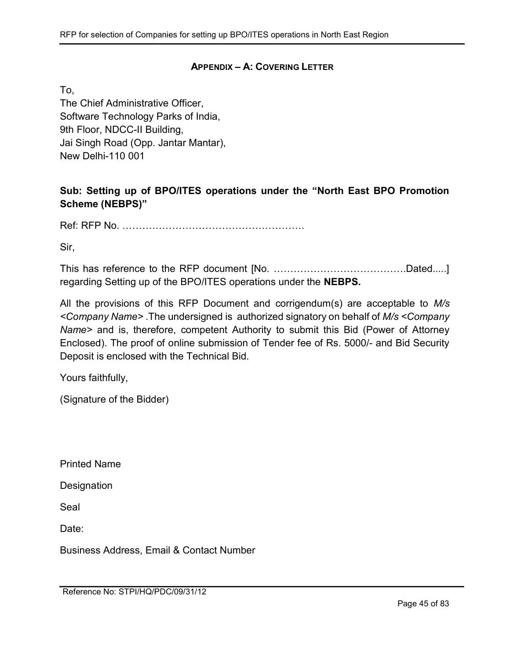### APPENDIX – A: COVERING LETTER

To,

The Chief Administrative Officer, Software Technology Parks of India, 9th Floor, NDCC-II Building, Jai Singh Road (Opp. Jantar Mantar), New Delhi-110 001

# Sub: Setting up of BPO/ITES operations under the "North East BPO Promotion Scheme (NEBPS)"

Ref: RFP No. ……………………………………………….

Sir,

This has reference to the RFP document [No. ………………………………….Dated.....] regarding Setting up of the BPO/ITES operations under the NEBPS.

All the provisions of this RFP Document and corrigendum(s) are acceptable to M/s <Company Name> .The undersigned is authorized signatory on behalf of M/s <Company Name> and is, therefore, competent Authority to submit this Bid (Power of Attorney Enclosed). The proof of online submission of Tender fee of Rs. 5000/- and Bid Security Deposit is enclosed with the Technical Bid.

Yours faithfully,

(Signature of the Bidder)

Printed Name

**Designation** 

Seal

Date:

Business Address, Email & Contact Number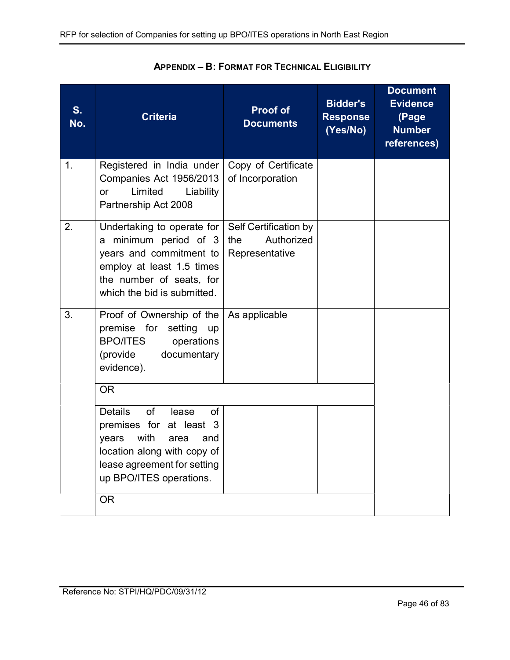| Registered in India under<br>Companies Act 1956/2013<br>Limited<br>Liability<br><b>or</b><br>Partnership Act 2008<br>Undertaking to operate for                                                                   | Copy of Certificate<br>of Incorporation<br>Self Certification by |  |
|-------------------------------------------------------------------------------------------------------------------------------------------------------------------------------------------------------------------|------------------------------------------------------------------|--|
|                                                                                                                                                                                                                   |                                                                  |  |
| years and commitment to<br>employ at least 1.5 times<br>the number of seats, for<br>which the bid is submitted.                                                                                                   | Authorized<br>the<br>Representative                              |  |
| Proof of Ownership of the<br>premise for setting<br>up<br><b>BPO/ITES</b><br>operations<br>(provide<br>documentary<br>evidence).                                                                                  | As applicable                                                    |  |
| <b>OR</b><br><b>Details</b><br>of<br>of<br>lease<br>premises for at least 3<br>with<br>years<br>area<br>and<br>location along with copy of<br>lease agreement for setting<br>up BPO/ITES operations.<br><b>OR</b> |                                                                  |  |
|                                                                                                                                                                                                                   | a minimum period of 3                                            |  |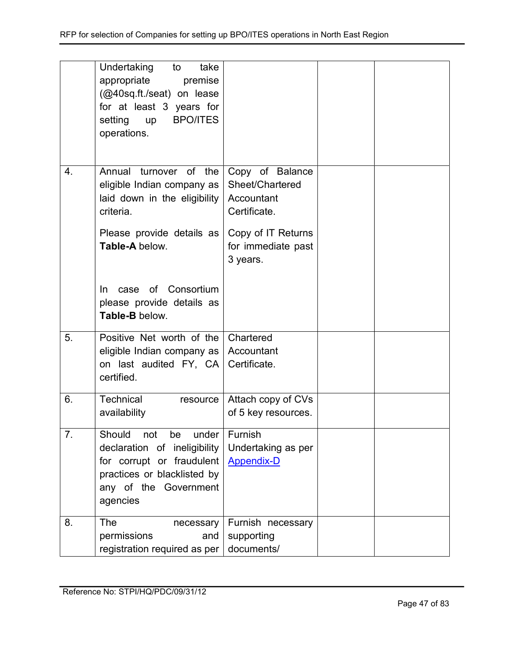|                  | Undertaking<br>take<br>to                                           |                            |  |
|------------------|---------------------------------------------------------------------|----------------------------|--|
|                  | appropriate<br>premise                                              |                            |  |
|                  | (@40sq.ft./seat) on lease                                           |                            |  |
|                  | for at least 3 years for<br><b>BPO/ITES</b><br>setting<br><b>up</b> |                            |  |
|                  | operations.                                                         |                            |  |
|                  |                                                                     |                            |  |
|                  |                                                                     |                            |  |
| 4.               | Annual turnover of the                                              | Copy of Balance            |  |
|                  | eligible Indian company as                                          | Sheet/Chartered            |  |
|                  | laid down in the eligibility<br>criteria.                           | Accountant<br>Certificate. |  |
|                  |                                                                     |                            |  |
|                  | Please provide details as                                           | Copy of IT Returns         |  |
|                  | Table-A below.                                                      | for immediate past         |  |
|                  |                                                                     | 3 years.                   |  |
|                  |                                                                     |                            |  |
|                  | case of Consortium<br>In.                                           |                            |  |
|                  | please provide details as<br>Table-B below.                         |                            |  |
|                  |                                                                     |                            |  |
| 5.               | Positive Net worth of the                                           | Chartered                  |  |
|                  | eligible Indian company as                                          | Accountant                 |  |
|                  | on last audited FY, CA                                              | Certificate.               |  |
|                  | certified.                                                          |                            |  |
| 6.               | Technical<br>resource                                               | Attach copy of CVs         |  |
|                  | availability                                                        | of 5 key resources.        |  |
| $\overline{7}$ . | Should<br>not<br>be<br>under                                        | Furnish                    |  |
|                  | declaration of ineligibility                                        | Undertaking as per         |  |
|                  | for corrupt or fraudulent                                           | <b>Appendix-D</b>          |  |
|                  | practices or blacklisted by                                         |                            |  |
|                  | any of the Government                                               |                            |  |
|                  | agencies                                                            |                            |  |
| 8.               | The<br>necessary                                                    | Furnish necessary          |  |
|                  | permissions<br>and                                                  | supporting                 |  |
|                  | registration required as per                                        | documents/                 |  |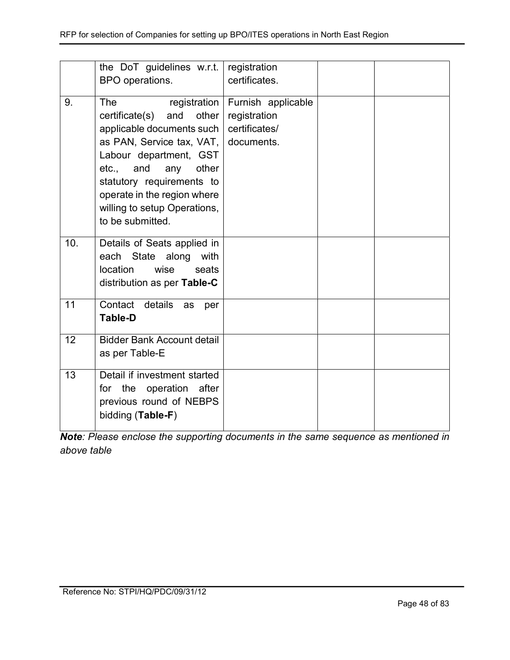|     | the DoT guidelines w.r.t.<br>BPO operations.                                                                                                                                                                                                                                              | registration<br>certificates.                                     |  |
|-----|-------------------------------------------------------------------------------------------------------------------------------------------------------------------------------------------------------------------------------------------------------------------------------------------|-------------------------------------------------------------------|--|
| 9.  | registration<br>The<br>and<br>other<br>certificate(s)<br>applicable documents such<br>as PAN, Service tax, VAT,<br>Labour department, GST<br>and<br>other<br>etc.,<br>any<br>statutory requirements to<br>operate in the region where<br>willing to setup Operations,<br>to be submitted. | Furnish applicable<br>registration<br>certificates/<br>documents. |  |
| 10. | Details of Seats applied in<br>State along<br>with<br>each<br>location<br>wise<br>seats<br>distribution as per Table-C                                                                                                                                                                    |                                                                   |  |
| 11  | Contact details<br>as<br>per<br><b>Table-D</b>                                                                                                                                                                                                                                            |                                                                   |  |
| 12  | <b>Bidder Bank Account detail</b><br>as per Table-E                                                                                                                                                                                                                                       |                                                                   |  |
| 13  | Detail if investment started<br>for the operation after<br>previous round of NEBPS<br>bidding (Table-F)                                                                                                                                                                                   |                                                                   |  |

Note: Please enclose the supporting documents in the same sequence as mentioned in above table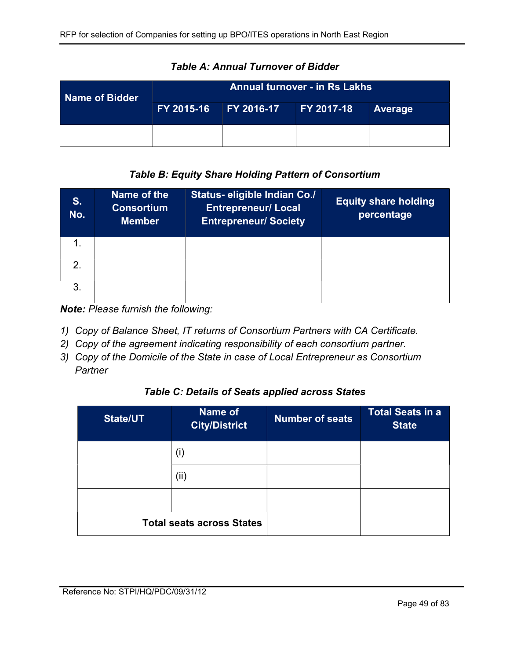| Name of Bidder | <b>Annual turnover - in Rs Lakhs</b> |  |                   |         |
|----------------|--------------------------------------|--|-------------------|---------|
|                | FY 2015-16 FY 2016-17                |  | <b>FY 2017-18</b> | Average |
|                |                                      |  |                   |         |

Table A: Annual Turnover of Bidder

## Table B: Equity Share Holding Pattern of Consortium

| S.<br>No.     | Name of the<br><b>Consortium</b><br><b>Member</b> | Status- eligible Indian Co./<br><b>Entrepreneur/ Local</b><br><b>Entrepreneur/ Society</b> | <b>Equity share holding</b><br>percentage |
|---------------|---------------------------------------------------|--------------------------------------------------------------------------------------------|-------------------------------------------|
|               |                                                   |                                                                                            |                                           |
| $\mathcal{P}$ |                                                   |                                                                                            |                                           |
| 3.            |                                                   |                                                                                            |                                           |

Note: Please furnish the following:

- 1) Copy of Balance Sheet, IT returns of Consortium Partners with CA Certificate.
- 2) Copy of the agreement indicating responsibility of each consortium partner.
- 3) Copy of the Domicile of the State in case of Local Entrepreneur as Consortium **Partner**

### Table C: Details of Seats applied across States

| <b>State/UT</b> | Name of<br><b>City/District</b>  | <b>Number of seats</b> | <b>Total Seats in a</b><br><b>State</b> |
|-----------------|----------------------------------|------------------------|-----------------------------------------|
|                 | (i)                              |                        |                                         |
|                 | (ii)                             |                        |                                         |
|                 |                                  |                        |                                         |
|                 | <b>Total seats across States</b> |                        |                                         |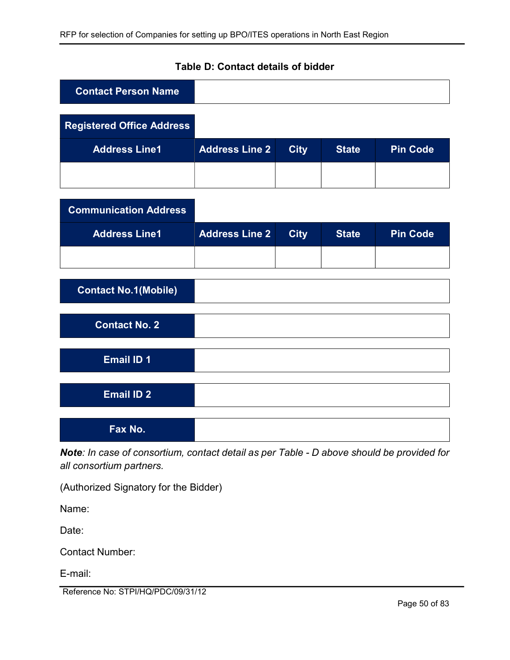| <b>Contact Person Name</b>       |                       |             |              |                 |
|----------------------------------|-----------------------|-------------|--------------|-----------------|
|                                  |                       |             |              |                 |
| <b>Registered Office Address</b> |                       |             |              |                 |
| <b>Address Line1</b>             | <b>Address Line 2</b> | <b>City</b> | <b>State</b> | <b>Pin Code</b> |
|                                  |                       |             |              |                 |

|  | Table D: Contact details of bidder |  |  |  |
|--|------------------------------------|--|--|--|
|--|------------------------------------|--|--|--|

| <b>Communication Address</b> |                       |             |              |                 |
|------------------------------|-----------------------|-------------|--------------|-----------------|
| <b>Address Line1</b>         | <b>Address Line 2</b> | <b>City</b> | <b>State</b> | <b>Pin Code</b> |
|                              |                       |             |              |                 |
|                              |                       |             |              |                 |
| <b>Contact No.1(Mobile)</b>  |                       |             |              |                 |
|                              |                       |             |              |                 |
| <b>Contact No. 2</b>         |                       |             |              |                 |
|                              |                       |             |              |                 |
| <b>Email ID 1</b>            |                       |             |              |                 |
|                              |                       |             |              |                 |
| <b>Email ID 2</b>            |                       |             |              |                 |
|                              |                       |             |              |                 |
| Fax No.                      |                       |             |              |                 |

Note: In case of consortium, contact detail as per Table - D above should be provided for all consortium partners.

(Authorized Signatory for the Bidder)

Name:

Date:

Contact Number:

E-mail:

Reference No: STPI/HQ/PDC/09/31/12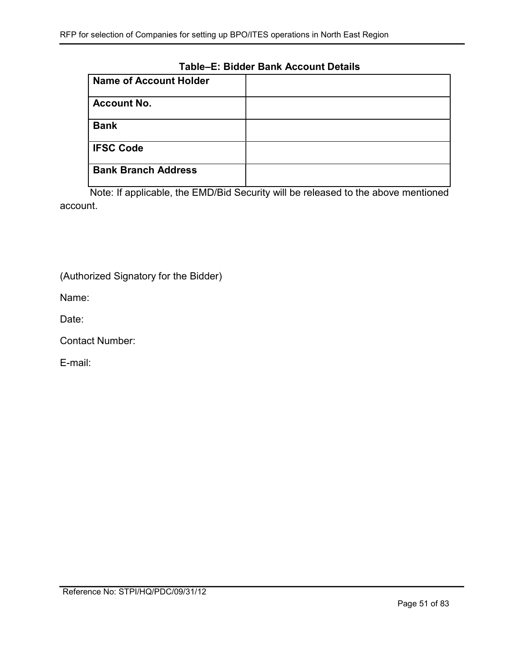### Table–E: Bidder Bank Account Details

| <b>Name of Account Holder</b> |  |
|-------------------------------|--|
| <b>Account No.</b>            |  |
| <b>Bank</b>                   |  |
| <b>IFSC Code</b>              |  |
| <b>Bank Branch Address</b>    |  |

Note: If applicable, the EMD/Bid Security will be released to the above mentioned account.

(Authorized Signatory for the Bidder)

Name:

Date:

Contact Number:

E-mail: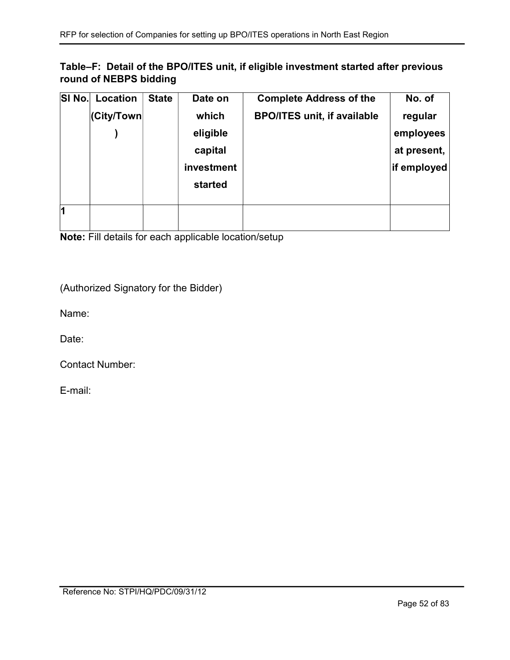## Table–F: Detail of the BPO/ITES unit, if eligible investment started after previous round of NEBPS bidding

| SI No. | Location   | <b>State</b> | Date on    | <b>Complete Address of the</b>     | No. of      |
|--------|------------|--------------|------------|------------------------------------|-------------|
|        | (City/Town |              | which      | <b>BPO/ITES unit, if available</b> | regular     |
|        |            |              | eligible   |                                    | employees   |
|        |            |              | capital    |                                    | at present, |
|        |            |              | investment |                                    | if employed |
|        |            |              | started    |                                    |             |
|        |            |              |            |                                    |             |
| h      |            |              |            |                                    |             |
|        |            |              |            |                                    |             |

Note: Fill details for each applicable location/setup

(Authorized Signatory for the Bidder)

Name:

Date:

Contact Number:

E-mail: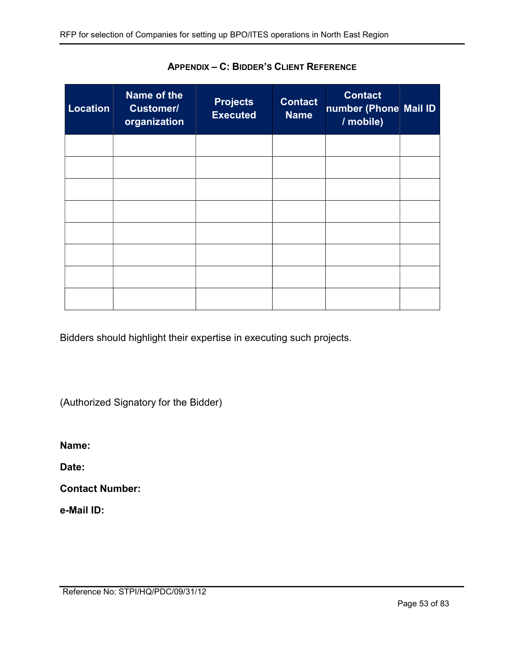| <b>Location</b> | <b>Name of the</b><br><b>Customer/</b><br>organization | <b>Projects</b><br><b>Executed</b> | <b>Contact</b><br><b>Name</b> | <b>Contact</b><br>number (Phone Mail ID<br>/ mobile) |  |
|-----------------|--------------------------------------------------------|------------------------------------|-------------------------------|------------------------------------------------------|--|
|                 |                                                        |                                    |                               |                                                      |  |
|                 |                                                        |                                    |                               |                                                      |  |
|                 |                                                        |                                    |                               |                                                      |  |
|                 |                                                        |                                    |                               |                                                      |  |
|                 |                                                        |                                    |                               |                                                      |  |
|                 |                                                        |                                    |                               |                                                      |  |
|                 |                                                        |                                    |                               |                                                      |  |
|                 |                                                        |                                    |                               |                                                      |  |

APPENDIX – C: BIDDER'S CLIENT REFERENCE

Bidders should highlight their expertise in executing such projects.

(Authorized Signatory for the Bidder)

Name:

Date:

Contact Number:

e-Mail ID: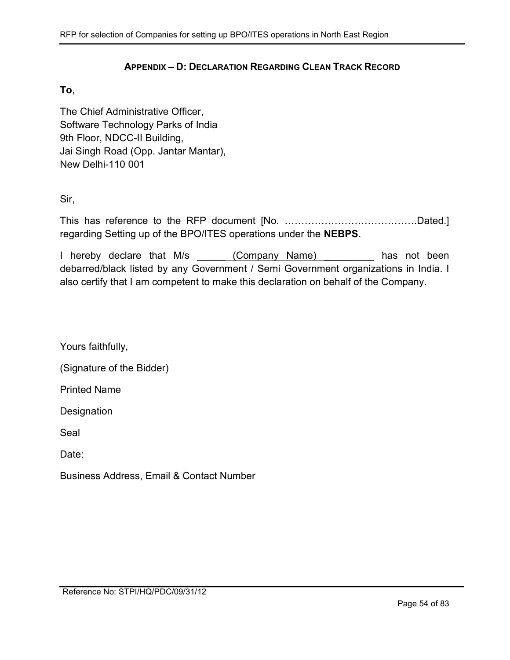### APPENDIX – D: DECLARATION REGARDING CLEAN TRACK RECORD

### To,

The Chief Administrative Officer, Software Technology Parks of India 9th Floor, NDCC-II Building, Jai Singh Road (Opp. Jantar Mantar), New Delhi-110 001

Sir,

This has reference to the RFP document [No. ………………………………….Dated.] regarding Setting up of the BPO/ITES operations under the NEBPS.

I hereby declare that M/s (Company Name) and has not been debarred/black listed by any Government / Semi Government organizations in India. I also certify that I am competent to make this declaration on behalf of the Company.

Yours faithfully,

(Signature of the Bidder)

Printed Name

**Designation** 

Seal

Date:

Business Address, Email & Contact Number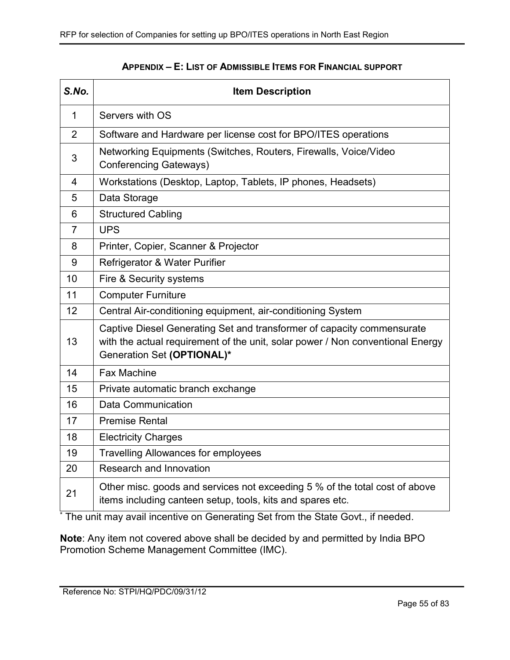| S.No.          | <b>Item Description</b>                                                                                                                                                                |
|----------------|----------------------------------------------------------------------------------------------------------------------------------------------------------------------------------------|
| $\mathbf{1}$   | Servers with OS                                                                                                                                                                        |
| $\overline{2}$ | Software and Hardware per license cost for BPO/ITES operations                                                                                                                         |
| 3              | Networking Equipments (Switches, Routers, Firewalls, Voice/Video<br><b>Conferencing Gateways)</b>                                                                                      |
| 4              | Workstations (Desktop, Laptop, Tablets, IP phones, Headsets)                                                                                                                           |
| 5              | Data Storage                                                                                                                                                                           |
| 6              | <b>Structured Cabling</b>                                                                                                                                                              |
| $\overline{7}$ | <b>UPS</b>                                                                                                                                                                             |
| 8              | Printer, Copier, Scanner & Projector                                                                                                                                                   |
| 9              | Refrigerator & Water Purifier                                                                                                                                                          |
| 10             | Fire & Security systems                                                                                                                                                                |
| 11             | <b>Computer Furniture</b>                                                                                                                                                              |
| 12             | Central Air-conditioning equipment, air-conditioning System                                                                                                                            |
| 13             | Captive Diesel Generating Set and transformer of capacity commensurate<br>with the actual requirement of the unit, solar power / Non conventional Energy<br>Generation Set (OPTIONAL)* |
| 14             | <b>Fax Machine</b>                                                                                                                                                                     |
| 15             | Private automatic branch exchange                                                                                                                                                      |
| 16             | <b>Data Communication</b>                                                                                                                                                              |
| 17             | <b>Premise Rental</b>                                                                                                                                                                  |
| 18             | <b>Electricity Charges</b>                                                                                                                                                             |
| 19             | <b>Travelling Allowances for employees</b>                                                                                                                                             |
| 20             | Research and Innovation                                                                                                                                                                |
| 21             | Other misc. goods and services not exceeding 5 % of the total cost of above<br>items including canteen setup, tools, kits and spares etc.                                              |

### APPENDIX – E: LIST OF ADMISSIBLE ITEMS FOR FINANCIAL SUPPORT

\* The unit may avail incentive on Generating Set from the State Govt., if needed.

Note: Any item not covered above shall be decided by and permitted by India BPO Promotion Scheme Management Committee (IMC).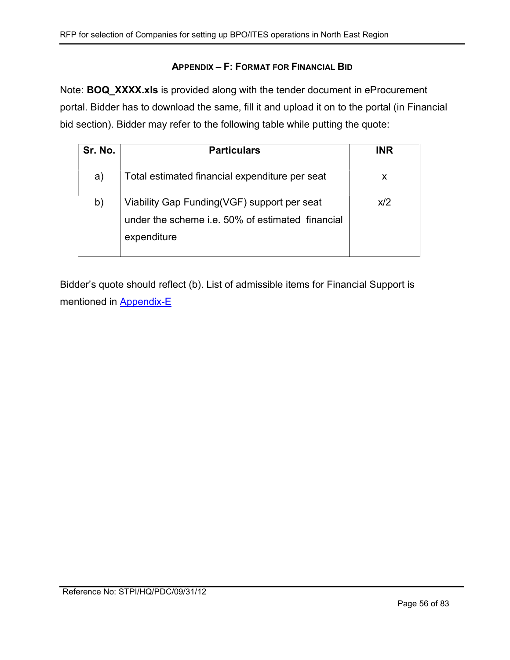## APPENDIX – F: FORMAT FOR FINANCIAL BID

Note: BOQ\_XXXX.xls is provided along with the tender document in eProcurement portal. Bidder has to download the same, fill it and upload it on to the portal (in Financial bid section). Bidder may refer to the following table while putting the quote:

| Sr. No. | <b>Particulars</b>                                                                                             | <b>INR</b> |
|---------|----------------------------------------------------------------------------------------------------------------|------------|
| a)      | Total estimated financial expenditure per seat                                                                 | x          |
| b)      | Viability Gap Funding(VGF) support per seat<br>under the scheme i.e. 50% of estimated financial<br>expenditure | x/2        |

Bidder's quote should reflect (b). List of admissible items for Financial Support is mentioned in Appendix-E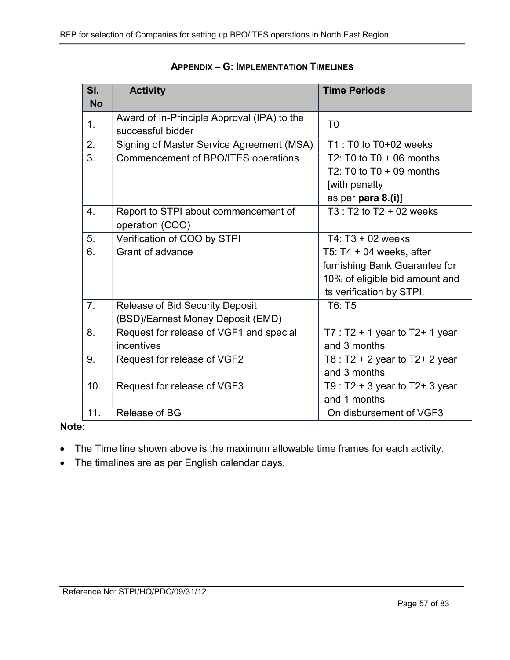| SI.            | <b>Activity</b>                             | <b>Time Periods</b>             |
|----------------|---------------------------------------------|---------------------------------|
| <b>No</b>      |                                             |                                 |
| 1 <sub>1</sub> | Award of In-Principle Approval (IPA) to the | T <sub>0</sub>                  |
|                | successful bidder                           |                                 |
| 2.             | Signing of Master Service Agreement (MSA)   | $T1: T0$ to $T0+02$ weeks       |
| 3.             | Commencement of BPO/ITES operations         | T2: T0 to $T0 + 06$ months      |
|                |                                             | T2: T0 to $T0 + 09$ months      |
|                |                                             | [with penalty                   |
|                |                                             | as per para $8.(i)$ ]           |
| 4.             | Report to STPI about commencement of        | $T3: T2$ to $T2 + 02$ weeks     |
|                | operation (COO)                             |                                 |
| 5.             | Verification of COO by STPI                 | $T4: T3 + 02$ weeks             |
| 6.             | Grant of advance                            | T5: T4 $+$ 04 weeks, after      |
|                |                                             | furnishing Bank Guarantee for   |
|                |                                             | 10% of eligible bid amount and  |
|                |                                             | its verification by STPI.       |
| 7 <sub>1</sub> | Release of Bid Security Deposit             | T6: T5                          |
|                | (BSD)/Earnest Money Deposit (EMD)           |                                 |
| 8.             | Request for release of VGF1 and special     | $T7: T2 + 1$ year to T2+ 1 year |
|                | incentives                                  | and 3 months                    |
| 9.             | Request for release of VGF2                 | T8 : T2 + 2 year to T2+ 2 year  |
|                |                                             | and 3 months                    |
| 10.            | Request for release of VGF3                 | T9 : T2 + 3 year to T2+ 3 year  |
|                |                                             | and 1 months                    |
| 11.            | <b>Release of BG</b>                        | On disbursement of VGF3         |

### APPENDIX – G: IMPLEMENTATION TIMELINES

### Note:

- The Time line shown above is the maximum allowable time frames for each activity.
- The timelines are as per English calendar days.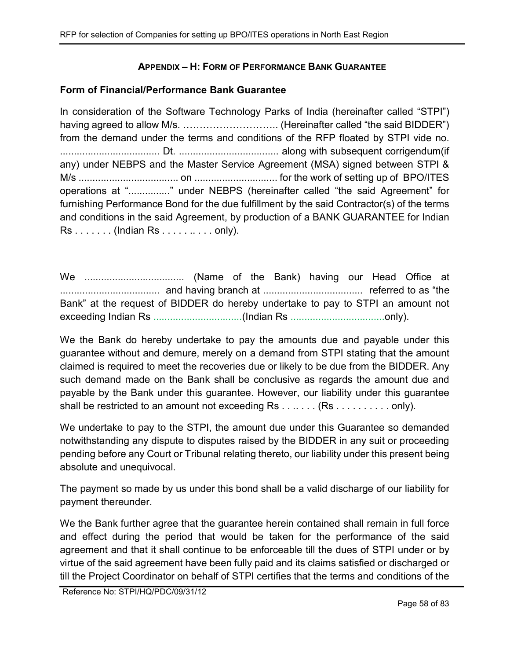## APPENDIX – H: FORM OF PERFORMANCE BANK GUARANTEE

### Form of Financial/Performance Bank Guarantee

In consideration of the Software Technology Parks of India (hereinafter called "STPI") having agreed to allow M/s. ……………………….. (Hereinafter called "the said BIDDER") from the demand under the terms and conditions of the RFP floated by STPI vide no. .................................... Dt. .................................... along with subsequent corrigendum(if any) under NEBPS and the Master Service Agreement (MSA) signed between STPI & M/s .................................... on .............................. for the work of setting up of BPO/ITES operations at "..............." under NEBPS (hereinafter called "the said Agreement" for furnishing Performance Bond for the due fulfillment by the said Contractor(s) of the terms and conditions in the said Agreement, by production of a BANK GUARANTEE for Indian Rs . . . . . . . (Indian Rs . . . . . .. . . . only).

We .................................... (Name of the Bank) having our Head Office at .................................... and having branch at .................................... referred to as "the Bank" at the request of BIDDER do hereby undertake to pay to STPI an amount not exceeding Indian Rs ................................(Indian Rs ..................................only).

We the Bank do hereby undertake to pay the amounts due and payable under this guarantee without and demure, merely on a demand from STPI stating that the amount claimed is required to meet the recoveries due or likely to be due from the BIDDER. Any such demand made on the Bank shall be conclusive as regards the amount due and payable by the Bank under this guarantee. However, our liability under this guarantee shall be restricted to an amount not exceeding Rs . . . . . . . (Rs . . . . . . . . . . only).

We undertake to pay to the STPI, the amount due under this Guarantee so demanded notwithstanding any dispute to disputes raised by the BIDDER in any suit or proceeding pending before any Court or Tribunal relating thereto, our liability under this present being absolute and unequivocal.

The payment so made by us under this bond shall be a valid discharge of our liability for payment thereunder.

We the Bank further agree that the guarantee herein contained shall remain in full force and effect during the period that would be taken for the performance of the said agreement and that it shall continue to be enforceable till the dues of STPI under or by virtue of the said agreement have been fully paid and its claims satisfied or discharged or till the Project Coordinator on behalf of STPI certifies that the terms and conditions of the

Reference No: STPI/HQ/PDC/09/31/12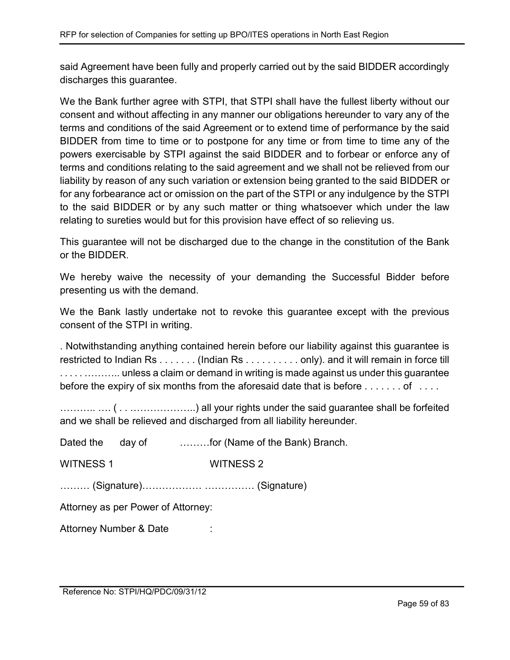said Agreement have been fully and properly carried out by the said BIDDER accordingly discharges this guarantee.

We the Bank further agree with STPI, that STPI shall have the fullest liberty without our consent and without affecting in any manner our obligations hereunder to vary any of the terms and conditions of the said Agreement or to extend time of performance by the said BIDDER from time to time or to postpone for any time or from time to time any of the powers exercisable by STPI against the said BIDDER and to forbear or enforce any of terms and conditions relating to the said agreement and we shall not be relieved from our liability by reason of any such variation or extension being granted to the said BIDDER or for any forbearance act or omission on the part of the STPI or any indulgence by the STPI to the said BIDDER or by any such matter or thing whatsoever which under the law relating to sureties would but for this provision have effect of so relieving us.

This guarantee will not be discharged due to the change in the constitution of the Bank or the BIDDER.

We hereby waive the necessity of your demanding the Successful Bidder before presenting us with the demand.

We the Bank lastly undertake not to revoke this guarantee except with the previous consent of the STPI in writing.

. Notwithstanding anything contained herein before our liability against this guarantee is restricted to Indian Rs . . . . . . . (Indian Rs . . . . . . . . . . only). and it will remain in force till ................. unless a claim or demand in writing is made against us under this guarantee before the expiry of six months from the aforesaid date that is before . . . . . . . of . . . .

……….. …. ( . . ………………..) all your rights under the said guarantee shall be forfeited and we shall be relieved and discharged from all liability hereunder.

| Dated the day of                   |  | for (Name of the Bank) Branch. |  |  |
|------------------------------------|--|--------------------------------|--|--|
| <b>WITNESS 1</b>                   |  | <b>WITNESS 2</b>               |  |  |
|                                    |  |                                |  |  |
| Attorney as per Power of Attorney: |  |                                |  |  |
| Attorney Number & Date             |  |                                |  |  |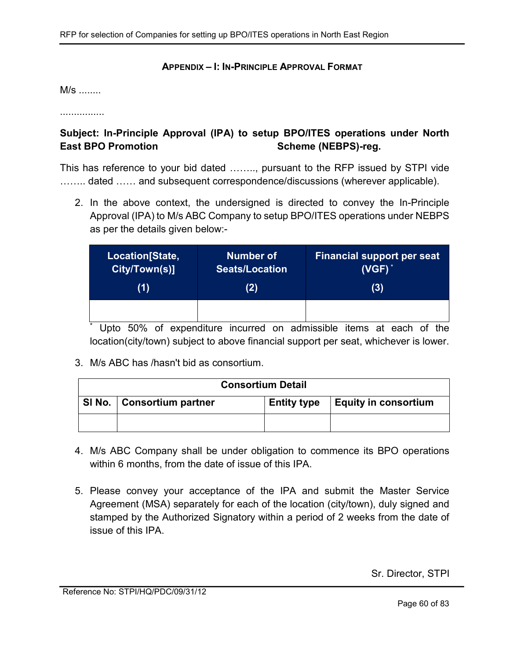### APPENDIX – I: IN-PRINCIPLE APPROVAL FORMAT

M/s ........

................

# Subject: In-Principle Approval (IPA) to setup BPO/ITES operations under North East BPO Promotion Scheme (NEBPS)-reg.

This has reference to your bid dated …….., pursuant to the RFP issued by STPI vide ........ dated ...... and subsequent correspondence/discussions (wherever applicable).

2. In the above context, the undersigned is directed to convey the In-Principle Approval (IPA) to M/s ABC Company to setup BPO/ITES operations under NEBPS as per the details given below:-

| Location[State,      | <b>Number of</b>      | <b>Financial support per seat</b> |
|----------------------|-----------------------|-----------------------------------|
| <b>City/Town(s)]</b> | <b>Seats/Location</b> | $(VGF)^*$                         |
| (1)                  | (2)                   | (3)                               |
|                      |                       |                                   |

\* Upto 50% of expenditure incurred on admissible items at each of the location(city/town) subject to above financial support per seat, whichever is lower.

3. M/s ABC has /hasn't bid as consortium.

| <b>Consortium Detail</b>    |                    |                              |  |
|-----------------------------|--------------------|------------------------------|--|
| SI No.   Consortium partner | <b>Entity type</b> | $\vert$ Equity in consortium |  |
|                             |                    |                              |  |

- 4. M/s ABC Company shall be under obligation to commence its BPO operations within 6 months, from the date of issue of this IPA.
- 5. Please convey your acceptance of the IPA and submit the Master Service Agreement (MSA) separately for each of the location (city/town), duly signed and stamped by the Authorized Signatory within a period of 2 weeks from the date of issue of this IPA.

Sr. Director, STPI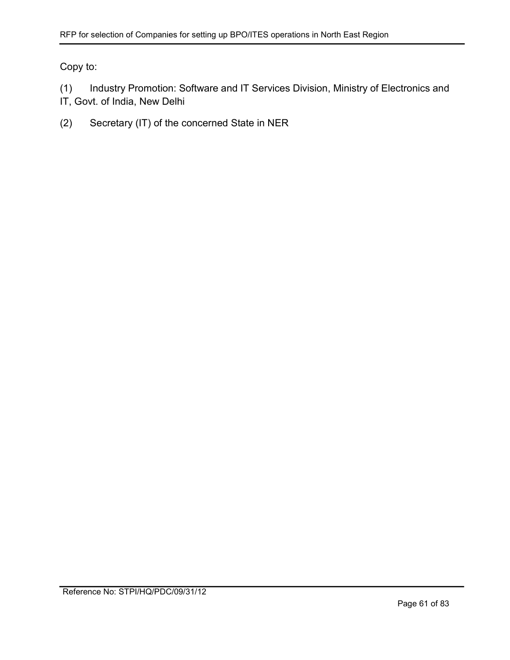Copy to:

(1) Industry Promotion: Software and IT Services Division, Ministry of Electronics and IT, Govt. of India, New Delhi

(2) Secretary (IT) of the concerned State in NER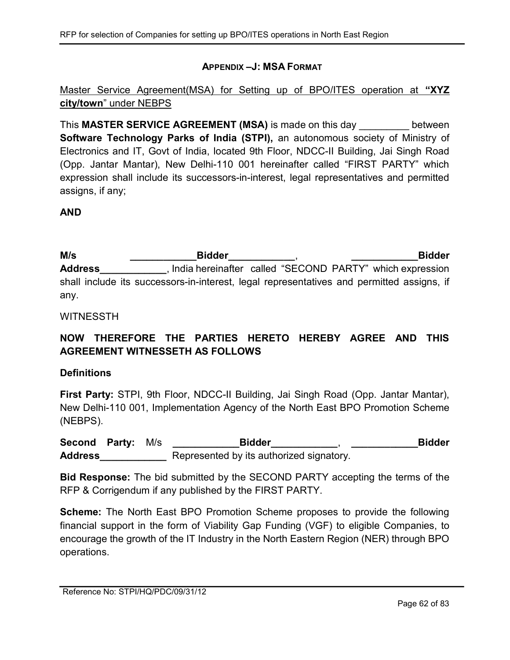## APPENDIX –J: MSA FORMAT

Master Service Agreement(MSA) for Setting up of BPO/ITES operation at "XYZ city/town" under NEBPS

This **MASTER SERVICE AGREEMENT** (MSA) is made on this day between Software Technology Parks of India (STPI), an autonomous society of Ministry of Electronics and IT, Govt of India, located 9th Floor, NDCC-II Building, Jai Singh Road (Opp. Jantar Mantar), New Delhi-110 001 hereinafter called "FIRST PARTY" which expression shall include its successors-in-interest, legal representatives and permitted assigns, if any;

### AND

M/s \_\_\_\_\_\_\_\_\_\_\_\_\_\_\_Bidder\_\_\_\_\_\_\_\_\_\_\_\_\_, \_\_\_\_\_\_\_\_\_\_\_\_\_\_\_Bidder Address\_\_\_\_\_\_\_\_\_\_\_, India hereinafter called "SECOND PARTY" which expression shall include its successors-in-interest, legal representatives and permitted assigns, if any.

### WITNESSTH

# NOW THEREFORE THE PARTIES HERETO HEREBY AGREE AND THIS AGREEMENT WITNESSETH AS FOLLOWS

### **Definitions**

First Party: STPI, 9th Floor, NDCC-II Building, Jai Singh Road (Opp. Jantar Mantar), New Delhi-110 001, Implementation Agency of the North East BPO Promotion Scheme (NEBPS).

Second Party: M/s \_\_\_\_\_\_\_\_\_\_\_\_\_\_Bidder\_\_\_\_\_\_\_\_\_\_\_, \_\_\_\_\_\_\_\_\_\_\_\_\_\_\_Bidder Address\_\_\_\_\_\_\_\_\_\_\_\_\_\_\_\_\_ Represented by its authorized signatory.

Bid Response: The bid submitted by the SECOND PARTY accepting the terms of the RFP & Corrigendum if any published by the FIRST PARTY.

Scheme: The North East BPO Promotion Scheme proposes to provide the following financial support in the form of Viability Gap Funding (VGF) to eligible Companies, to encourage the growth of the IT Industry in the North Eastern Region (NER) through BPO operations.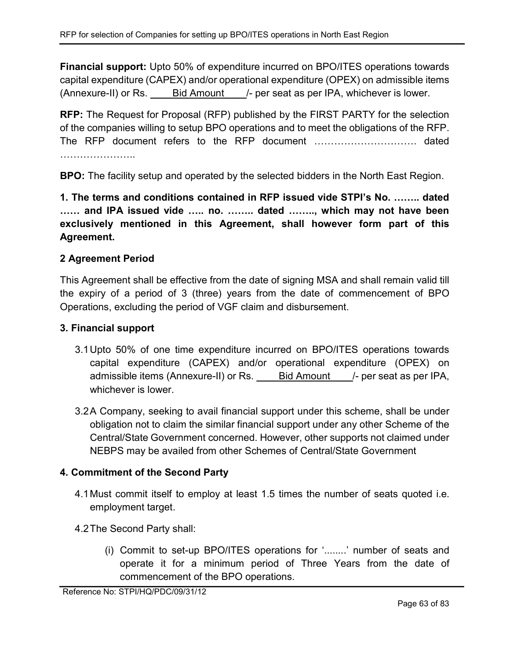Financial support: Upto 50% of expenditure incurred on BPO/ITES operations towards capital expenditure (CAPEX) and/or operational expenditure (OPEX) on admissible items (Annexure-II) or Rs. Eld Amount /- per seat as per IPA, whichever is lower.

RFP: The Request for Proposal (RFP) published by the FIRST PARTY for the selection of the companies willing to setup BPO operations and to meet the obligations of the RFP. The RFP document refers to the RFP document …………………………. dated …………………..

BPO: The facility setup and operated by the selected bidders in the North East Region.

1. The terms and conditions contained in RFP issued vide STPI's No. …….. dated …… and IPA issued vide ….. no. …….. dated …….., which may not have been exclusively mentioned in this Agreement, shall however form part of this Agreement.

# 2 Agreement Period

This Agreement shall be effective from the date of signing MSA and shall remain valid till the expiry of a period of 3 (three) years from the date of commencement of BPO Operations, excluding the period of VGF claim and disbursement.

## 3. Financial support

- 3.1 Upto 50% of one time expenditure incurred on BPO/ITES operations towards capital expenditure (CAPEX) and/or operational expenditure (OPEX) on admissible items (Annexure-II) or Rs. **Bid Amount** /- per seat as per IPA, whichever is lower.
- 3.2 A Company, seeking to avail financial support under this scheme, shall be under obligation not to claim the similar financial support under any other Scheme of the Central/State Government concerned. However, other supports not claimed under NEBPS may be availed from other Schemes of Central/State Government

## 4. Commitment of the Second Party

- 4.1 Must commit itself to employ at least 1.5 times the number of seats quoted i.e. employment target.
- 4.2 The Second Party shall:
	- (i) Commit to set-up BPO/ITES operations for '........' number of seats and operate it for a minimum period of Three Years from the date of commencement of the BPO operations.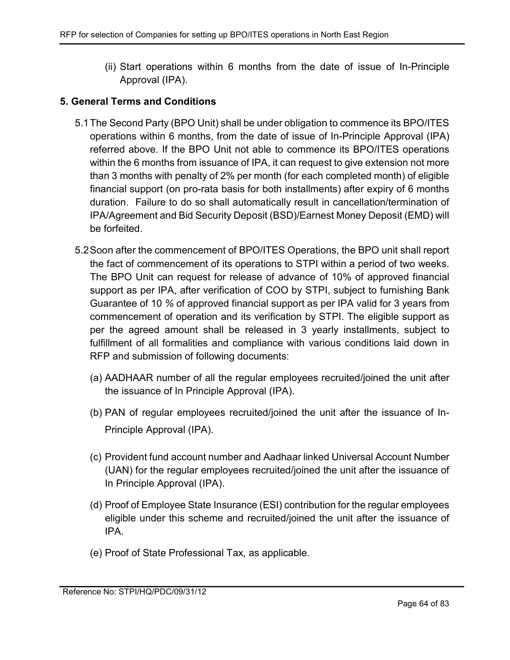(ii) Start operations within 6 months from the date of issue of In-Principle Approval (IPA).

## 5. General Terms and Conditions

- 5.1 The Second Party (BPO Unit) shall be under obligation to commence its BPO/ITES operations within 6 months, from the date of issue of In-Principle Approval (IPA) referred above. If the BPO Unit not able to commence its BPO/ITES operations within the 6 months from issuance of IPA, it can request to give extension not more than 3 months with penalty of 2% per month (for each completed month) of eligible financial support (on pro-rata basis for both installments) after expiry of 6 months duration. Failure to do so shall automatically result in cancellation/termination of IPA/Agreement and Bid Security Deposit (BSD)/Earnest Money Deposit (EMD) will be forfeited.
- 5.2 Soon after the commencement of BPO/ITES Operations, the BPO unit shall report the fact of commencement of its operations to STPI within a period of two weeks. The BPO Unit can request for release of advance of 10% of approved financial support as per IPA, after verification of COO by STPI, subject to furnishing Bank Guarantee of 10 % of approved financial support as per IPA valid for 3 years from commencement of operation and its verification by STPI. The eligible support as per the agreed amount shall be released in 3 yearly installments, subject to fulfillment of all formalities and compliance with various conditions laid down in RFP and submission of following documents:
	- (a) AADHAAR number of all the regular employees recruited/joined the unit after the issuance of In Principle Approval (IPA).
	- (b) PAN of regular employees recruited/joined the unit after the issuance of In-Principle Approval (IPA).
	- (c) Provident fund account number and Aadhaar linked Universal Account Number (UAN) for the regular employees recruited/joined the unit after the issuance of In Principle Approval (IPA).
	- (d) Proof of Employee State Insurance (ESI) contribution for the regular employees eligible under this scheme and recruited/joined the unit after the issuance of IPA.
	- (e) Proof of State Professional Tax, as applicable.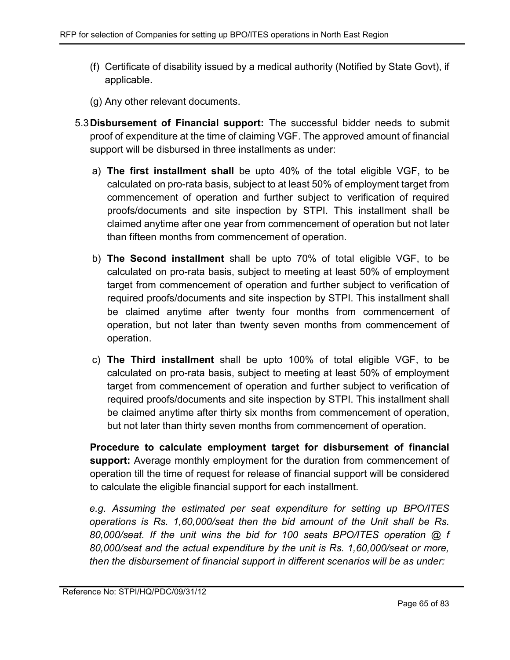- (f) Certificate of disability issued by a medical authority (Notified by State Govt), if applicable.
- (g) Any other relevant documents.
- 5.3 Disbursement of Financial support: The successful bidder needs to submit proof of expenditure at the time of claiming VGF. The approved amount of financial support will be disbursed in three installments as under:
	- a) The first installment shall be upto 40% of the total eligible VGF, to be calculated on pro-rata basis, subject to at least 50% of employment target from commencement of operation and further subject to verification of required proofs/documents and site inspection by STPI. This installment shall be claimed anytime after one year from commencement of operation but not later than fifteen months from commencement of operation.
	- b) The Second installment shall be upto 70% of total eligible VGF, to be calculated on pro-rata basis, subject to meeting at least 50% of employment target from commencement of operation and further subject to verification of required proofs/documents and site inspection by STPI. This installment shall be claimed anytime after twenty four months from commencement of operation, but not later than twenty seven months from commencement of operation.
	- c) The Third installment shall be upto 100% of total eligible VGF, to be calculated on pro-rata basis, subject to meeting at least 50% of employment target from commencement of operation and further subject to verification of required proofs/documents and site inspection by STPI. This installment shall be claimed anytime after thirty six months from commencement of operation, but not later than thirty seven months from commencement of operation.

Procedure to calculate employment target for disbursement of financial support: Average monthly employment for the duration from commencement of operation till the time of request for release of financial support will be considered to calculate the eligible financial support for each installment.

e.g. Assuming the estimated per seat expenditure for setting up BPO/ITES operations is Rs. 1,60,000/seat then the bid amount of the Unit shall be Rs. 80,000/seat. If the unit wins the bid for 100 seats BPO/ITES operation @ f 80,000/seat and the actual expenditure by the unit is Rs. 1,60,000/seat or more, then the disbursement of financial support in different scenarios will be as under: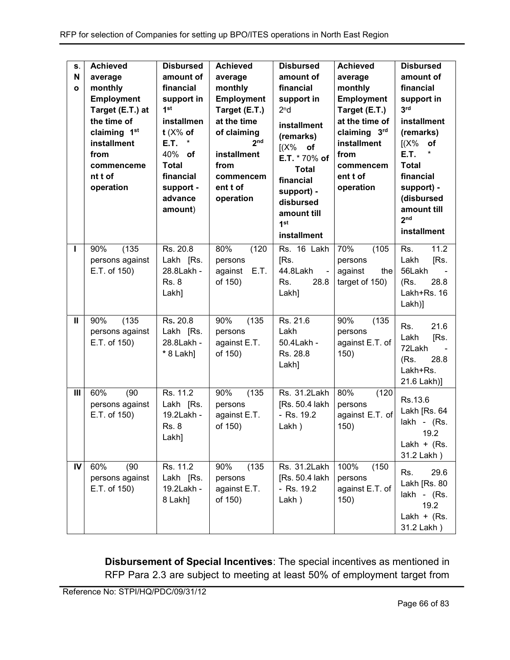| S.<br>$\mathbf N$<br>$\mathbf{o}$ | <b>Achieved</b><br>average<br>monthly<br>Employment<br>Target (E.T.) at<br>the time of<br>claiming 1st<br>installment<br>from<br>commenceme<br>nt t of<br>operation | <b>Disbursed</b><br>amount of<br>financial<br>support in<br>1 <sup>st</sup><br>installmen<br>$t$ (X% of<br>E.T.<br>*<br>40% of<br><b>Total</b><br>financial<br>support -<br>advance<br>amount) | <b>Achieved</b><br>average<br>monthly<br>Employment<br>Target (E.T.)<br>at the time<br>of claiming<br>2 <sub>nd</sub><br>installment<br>from<br>commencem<br>ent t of<br>operation | <b>Disbursed</b><br>amount of<br>financial<br>support in<br>2 <sup>n</sup> d<br>installment<br>(remarks)<br>$[(X\%$ of<br>E.T. * 70% of<br><b>Total</b><br>financial<br>support) -<br>disbursed<br>amount till<br>1 <sup>st</sup><br>installment | <b>Achieved</b><br>average<br>monthly<br><b>Employment</b><br>Target (E.T.)<br>at the time of<br>claiming 3rd<br>installment<br>from<br>commencem<br>ent t of<br>operation | <b>Disbursed</b><br>amount of<br>financial<br>support in<br>3 <sup>rd</sup><br>installment<br>(remarks)<br>(X%<br>of<br>*<br>E.T.<br><b>Total</b><br>financial<br>support) -<br>(disbursed<br>amount till<br>2 <sub>nd</sub><br>installment |
|-----------------------------------|---------------------------------------------------------------------------------------------------------------------------------------------------------------------|------------------------------------------------------------------------------------------------------------------------------------------------------------------------------------------------|------------------------------------------------------------------------------------------------------------------------------------------------------------------------------------|--------------------------------------------------------------------------------------------------------------------------------------------------------------------------------------------------------------------------------------------------|----------------------------------------------------------------------------------------------------------------------------------------------------------------------------|---------------------------------------------------------------------------------------------------------------------------------------------------------------------------------------------------------------------------------------------|
| т                                 | (135)<br>90%<br>persons against<br>E.T. of 150)                                                                                                                     | Rs. 20.8<br>Lakh [Rs.<br>28.8Lakh -<br><b>Rs. 8</b><br>Lakh]                                                                                                                                   | 80%<br>(120)<br>persons<br>E.T.<br>against<br>of 150)                                                                                                                              | Rs. 16 Lakh<br>[Rs.<br>44.8Lakh<br>$\sim$<br>Rs.<br>28.8<br>Lakh]                                                                                                                                                                                | 70%<br>(105)<br>persons<br>against<br>the<br>target of 150)                                                                                                                | 11.2<br>Rs.<br>Lakh<br>[Rs.<br>56Lakh<br>28.8<br>(Rs.<br>Lakh+Rs. 16<br>Lakh)]                                                                                                                                                              |
| Ш                                 | (135)<br>90%<br>persons against<br>E.T. of 150)                                                                                                                     | Rs. 20.8<br>Lakh [Rs.<br>28.8Lakh -<br>* 8 Lakh]                                                                                                                                               | 90%<br>(135)<br>persons<br>against E.T.<br>of 150)                                                                                                                                 | Rs. 21.6<br>Lakh<br>50.4Lakh -<br>Rs. 28.8<br>Lakh]                                                                                                                                                                                              | 90%<br>(135)<br>persons<br>against E.T. of<br>150)                                                                                                                         | 21.6<br>Rs.<br>Lakh<br>[Rs.<br>72Lakh<br>(Rs.<br>28.8<br>Lakh+Rs.<br>21.6 Lakh)]                                                                                                                                                            |
| III                               | 60%<br>(90)<br>persons against<br>E.T. of 150)                                                                                                                      | Rs. 11.2<br>Lakh [Rs.<br>19.2Lakh -<br><b>Rs. 8</b><br>Lakh]                                                                                                                                   | 90%<br>(135)<br>persons<br>against E.T.<br>of 150)                                                                                                                                 | Rs. 31.2Lakh<br>[Rs. 50.4 lakh<br>- Rs. 19.2<br>Lakh)                                                                                                                                                                                            | 80%<br>(120)<br>persons<br>against E.T. of<br>150)                                                                                                                         | Rs.13.6<br>Lakh [Rs. 64<br>lakh - (Rs.<br>19.2<br>Lakh $+$ (Rs.<br>31.2 Lakh )                                                                                                                                                              |
| IV                                | 60%<br>(90)<br>persons against<br>E.T. of 150)                                                                                                                      | Rs. 11.2<br>Lakh [Rs.<br>19.2Lakh -<br>8 Lakh]                                                                                                                                                 | (135)<br>90%<br>persons<br>against E.T.<br>of 150)                                                                                                                                 | Rs. 31.2Lakh<br>[Rs. 50.4 lakh<br>- Rs. 19.2<br>Lakh)                                                                                                                                                                                            | 100%<br>(150)<br>persons<br>against E.T. of<br>150)                                                                                                                        | 29.6<br>Rs.<br>Lakh [Rs. 80<br>lakh - (Rs.<br>19.2<br>Lakh + $(Rs.$<br>31.2 Lakh)                                                                                                                                                           |

Disbursement of Special Incentives: The special incentives as mentioned in RFP Para 2.3 are subject to meeting at least 50% of employment target from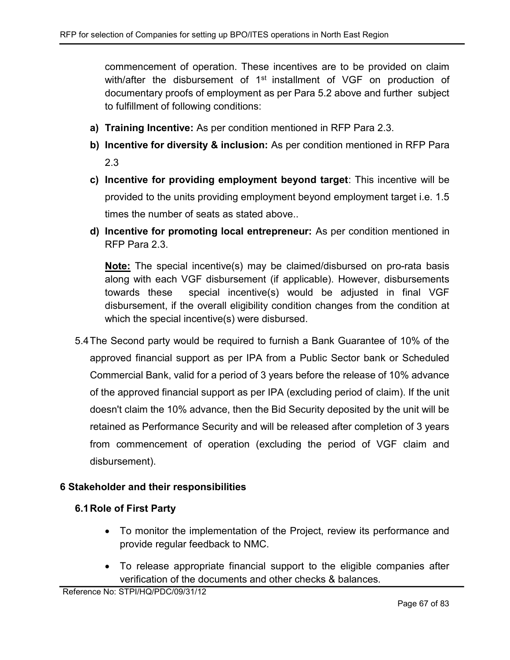commencement of operation. These incentives are to be provided on claim with/after the disbursement of 1<sup>st</sup> installment of VGF on production of documentary proofs of employment as per Para 5.2 above and further subject to fulfillment of following conditions:

- a) Training Incentive: As per condition mentioned in RFP Para 2.3.
- b) Incentive for diversity & inclusion: As per condition mentioned in RFP Para 2.3
- c) Incentive for providing employment beyond target: This incentive will be provided to the units providing employment beyond employment target i.e. 1.5 times the number of seats as stated above..
- d) Incentive for promoting local entrepreneur: As per condition mentioned in RFP Para 2.3.

Note: The special incentive(s) may be claimed/disbursed on pro-rata basis along with each VGF disbursement (if applicable). However, disbursements towards these special incentive(s) would be adjusted in final VGF disbursement, if the overall eligibility condition changes from the condition at which the special incentive(s) were disbursed.

5.4 The Second party would be required to furnish a Bank Guarantee of 10% of the approved financial support as per IPA from a Public Sector bank or Scheduled Commercial Bank, valid for a period of 3 years before the release of 10% advance of the approved financial support as per IPA (excluding period of claim). If the unit doesn't claim the 10% advance, then the Bid Security deposited by the unit will be retained as Performance Security and will be released after completion of 3 years from commencement of operation (excluding the period of VGF claim and disbursement).

## 6 Stakeholder and their responsibilities

## 6.1 Role of First Party

- To monitor the implementation of the Project, review its performance and provide regular feedback to NMC.
- To release appropriate financial support to the eligible companies after verification of the documents and other checks & balances.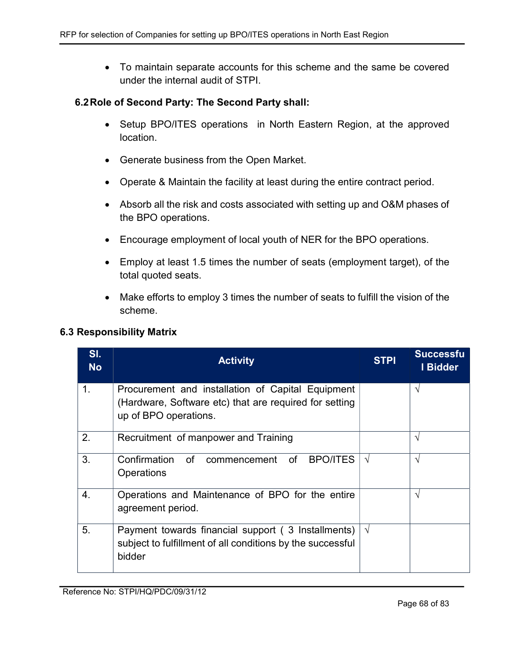To maintain separate accounts for this scheme and the same be covered under the internal audit of STPI.

### 6.2 Role of Second Party: The Second Party shall:

- Setup BPO/ITES operations in North Eastern Region, at the approved location.
- Generate business from the Open Market.
- Operate & Maintain the facility at least during the entire contract period.
- Absorb all the risk and costs associated with setting up and O&M phases of the BPO operations.
- Encourage employment of local youth of NER for the BPO operations.
- Employ at least 1.5 times the number of seats (employment target), of the total quoted seats.
- Make efforts to employ 3 times the number of seats to fulfill the vision of the scheme.

### 6.3 Responsibility Matrix

| SI.<br><b>No</b> | <b>Activity</b>                                                                                                                      | <b>STPI</b> | <b>Successfu</b><br>I Bidder |
|------------------|--------------------------------------------------------------------------------------------------------------------------------------|-------------|------------------------------|
| 1.               | Procurement and installation of Capital Equipment<br>(Hardware, Software etc) that are required for setting<br>up of BPO operations. |             | $\sqrt{ }$                   |
| 2.               | Recruitment of manpower and Training                                                                                                 |             | $\mathcal{N}$                |
| 3.               | Confirmation<br>of<br>commencement of<br><b>BPO/ITES</b><br>Operations                                                               | $\sqrt{ }$  | $\mathcal{N}$                |
| 4.               | Operations and Maintenance of BPO for the entire<br>agreement period.                                                                |             | $\mathcal{N}$                |
| 5.               | Payment towards financial support (3 Installments)<br>subject to fulfillment of all conditions by the successful<br>bidder           | $\sqrt{ }$  |                              |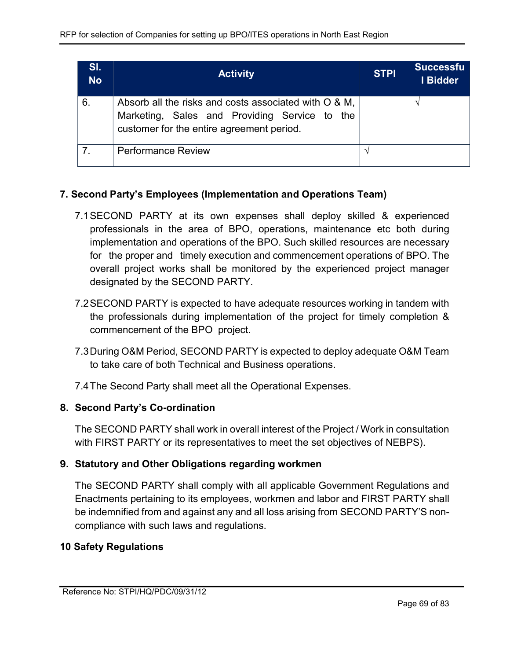| <b>ST.</b><br><b>No</b> | <b>Activity</b>                                                                                                                                     | <b>STPI</b> | <b>Successfu</b><br>I Bidder |
|-------------------------|-----------------------------------------------------------------------------------------------------------------------------------------------------|-------------|------------------------------|
| 6.                      | Absorb all the risks and costs associated with O & M,<br>Marketing, Sales and Providing Service to the<br>customer for the entire agreement period. |             |                              |
|                         | <b>Performance Review</b>                                                                                                                           |             |                              |

## 7. Second Party's Employees (Implementation and Operations Team)

- 7.1 SECOND PARTY at its own expenses shall deploy skilled & experienced professionals in the area of BPO, operations, maintenance etc both during implementation and operations of the BPO. Such skilled resources are necessary for the proper and timely execution and commencement operations of BPO. The overall project works shall be monitored by the experienced project manager designated by the SECOND PARTY.
- 7.2 SECOND PARTY is expected to have adequate resources working in tandem with the professionals during implementation of the project for timely completion & commencement of the BPO project.
- 7.3 During O&M Period, SECOND PARTY is expected to deploy adequate O&M Team to take care of both Technical and Business operations.

7.4 The Second Party shall meet all the Operational Expenses.

## 8. Second Party's Co-ordination

The SECOND PARTY shall work in overall interest of the Project / Work in consultation with FIRST PARTY or its representatives to meet the set objectives of NEBPS).

## 9. Statutory and Other Obligations regarding workmen

The SECOND PARTY shall comply with all applicable Government Regulations and Enactments pertaining to its employees, workmen and labor and FIRST PARTY shall be indemnified from and against any and all loss arising from SECOND PARTY'S noncompliance with such laws and regulations.

## 10 Safety Regulations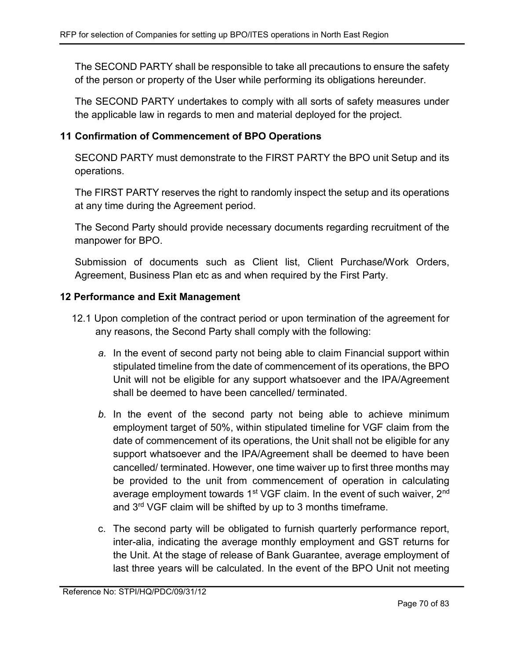The SECOND PARTY shall be responsible to take all precautions to ensure the safety of the person or property of the User while performing its obligations hereunder.

The SECOND PARTY undertakes to comply with all sorts of safety measures under the applicable law in regards to men and material deployed for the project.

## 11 Confirmation of Commencement of BPO Operations

SECOND PARTY must demonstrate to the FIRST PARTY the BPO unit Setup and its operations.

The FIRST PARTY reserves the right to randomly inspect the setup and its operations at any time during the Agreement period.

The Second Party should provide necessary documents regarding recruitment of the manpower for BPO.

Submission of documents such as Client list, Client Purchase/Work Orders, Agreement, Business Plan etc as and when required by the First Party.

## 12 Performance and Exit Management

- 12.1 Upon completion of the contract period or upon termination of the agreement for any reasons, the Second Party shall comply with the following:
	- a. In the event of second party not being able to claim Financial support within stipulated timeline from the date of commencement of its operations, the BPO Unit will not be eligible for any support whatsoever and the IPA/Agreement shall be deemed to have been cancelled/ terminated.
	- b. In the event of the second party not being able to achieve minimum employment target of 50%, within stipulated timeline for VGF claim from the date of commencement of its operations, the Unit shall not be eligible for any support whatsoever and the IPA/Agreement shall be deemed to have been cancelled/ terminated. However, one time waiver up to first three months may be provided to the unit from commencement of operation in calculating average employment towards 1<sup>st</sup> VGF claim. In the event of such waiver, 2<sup>nd</sup> and 3rd VGF claim will be shifted by up to 3 months timeframe.
	- c. The second party will be obligated to furnish quarterly performance report, inter-alia, indicating the average monthly employment and GST returns for the Unit. At the stage of release of Bank Guarantee, average employment of last three years will be calculated. In the event of the BPO Unit not meeting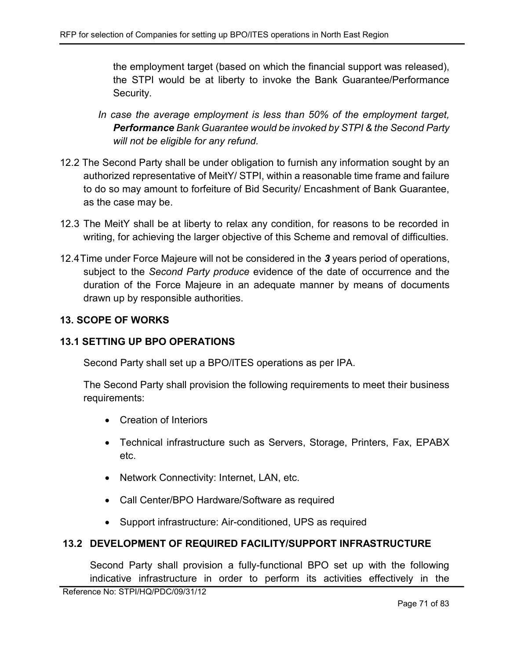the employment target (based on which the financial support was released), the STPI would be at liberty to invoke the Bank Guarantee/Performance Security.

- In case the average employment is less than 50% of the employment target, Performance Bank Guarantee would be invoked by STPI & the Second Party will not be eligible for any refund.
- 12.2 The Second Party shall be under obligation to furnish any information sought by an authorized representative of MeitY/ STPI, within a reasonable time frame and failure to do so may amount to forfeiture of Bid Security/ Encashment of Bank Guarantee, as the case may be.
- 12.3 The MeitY shall be at liberty to relax any condition, for reasons to be recorded in writing, for achieving the larger objective of this Scheme and removal of difficulties.
- 12.4 Time under Force Majeure will not be considered in the 3 years period of operations, subject to the Second Party produce evidence of the date of occurrence and the duration of the Force Majeure in an adequate manner by means of documents drawn up by responsible authorities.

# 13. SCOPE OF WORKS

# 13.1 SETTING UP BPO OPERATIONS

Second Party shall set up a BPO/ITES operations as per IPA.

The Second Party shall provision the following requirements to meet their business requirements:

- Creation of Interiors
- Technical infrastructure such as Servers, Storage, Printers, Fax, EPABX etc.
- Network Connectivity: Internet, LAN, etc.
- Call Center/BPO Hardware/Software as required
- Support infrastructure: Air-conditioned, UPS as required

# 13.2 DEVELOPMENT OF REQUIRED FACILITY/SUPPORT INFRASTRUCTURE

Second Party shall provision a fully-functional BPO set up with the following indicative infrastructure in order to perform its activities effectively in the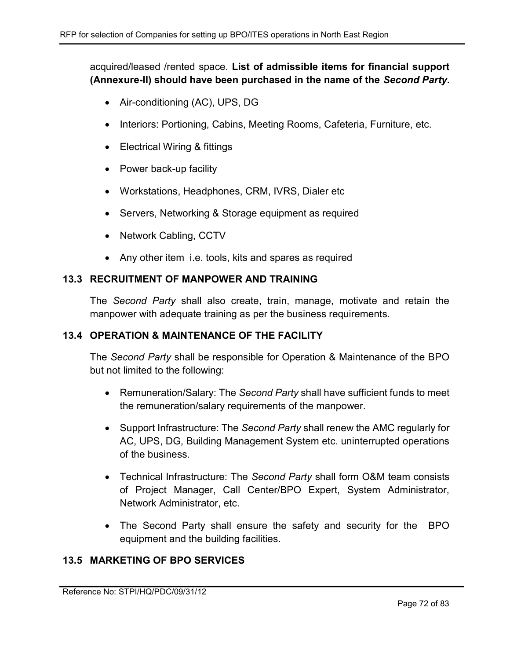acquired/leased /rented space. List of admissible items for financial support (Annexure-II) should have been purchased in the name of the Second Party.

- Air-conditioning (AC), UPS, DG
- Interiors: Portioning, Cabins, Meeting Rooms, Cafeteria, Furniture, etc.
- Electrical Wiring & fittings
- Power back-up facility
- Workstations, Headphones, CRM, IVRS, Dialer etc
- Servers, Networking & Storage equipment as required
- Network Cabling, CCTV
- Any other item i.e. tools, kits and spares as required

### 13.3 RECRUITMENT OF MANPOWER AND TRAINING

The Second Party shall also create, train, manage, motivate and retain the manpower with adequate training as per the business requirements.

### 13.4 OPERATION & MAINTENANCE OF THE FACILITY

The Second Party shall be responsible for Operation & Maintenance of the BPO but not limited to the following:

- Remuneration/Salary: The Second Party shall have sufficient funds to meet the remuneration/salary requirements of the manpower.
- Support Infrastructure: The Second Party shall renew the AMC regularly for AC, UPS, DG, Building Management System etc. uninterrupted operations of the business.
- Technical Infrastructure: The Second Party shall form O&M team consists of Project Manager, Call Center/BPO Expert, System Administrator, Network Administrator, etc.
- The Second Party shall ensure the safety and security for the BPO equipment and the building facilities.

## 13.5 MARKETING OF BPO SERVICES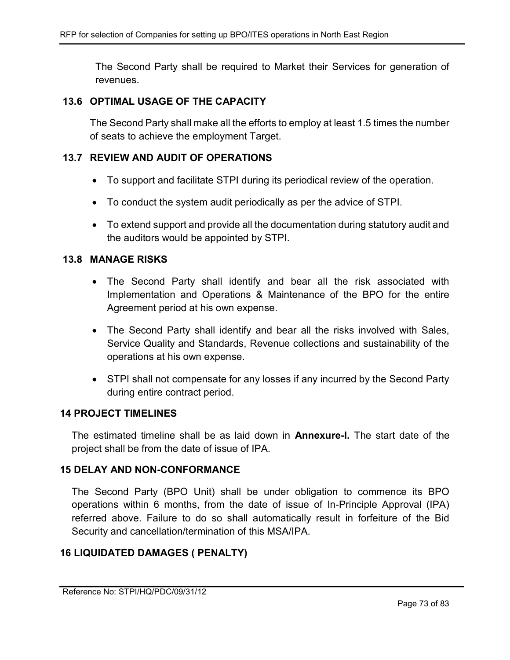The Second Party shall be required to Market their Services for generation of revenues.

#### 13.6 OPTIMAL USAGE OF THE CAPACITY

The Second Party shall make all the efforts to employ at least 1.5 times the number of seats to achieve the employment Target.

#### 13.7 REVIEW AND AUDIT OF OPERATIONS

- To support and facilitate STPI during its periodical review of the operation.
- To conduct the system audit periodically as per the advice of STPI.
- To extend support and provide all the documentation during statutory audit and the auditors would be appointed by STPI.

#### 13.8 MANAGE RISKS

- The Second Party shall identify and bear all the risk associated with Implementation and Operations & Maintenance of the BPO for the entire Agreement period at his own expense.
- The Second Party shall identify and bear all the risks involved with Sales, Service Quality and Standards, Revenue collections and sustainability of the operations at his own expense.
- STPI shall not compensate for any losses if any incurred by the Second Party during entire contract period.

### 14 PROJECT TIMELINES

The estimated timeline shall be as laid down in **Annexure-I**. The start date of the project shall be from the date of issue of IPA.

#### 15 DELAY AND NON-CONFORMANCE

The Second Party (BPO Unit) shall be under obligation to commence its BPO operations within 6 months, from the date of issue of In-Principle Approval (IPA) referred above. Failure to do so shall automatically result in forfeiture of the Bid Security and cancellation/termination of this MSA/IPA.

#### 16 LIQUIDATED DAMAGES ( PENALTY)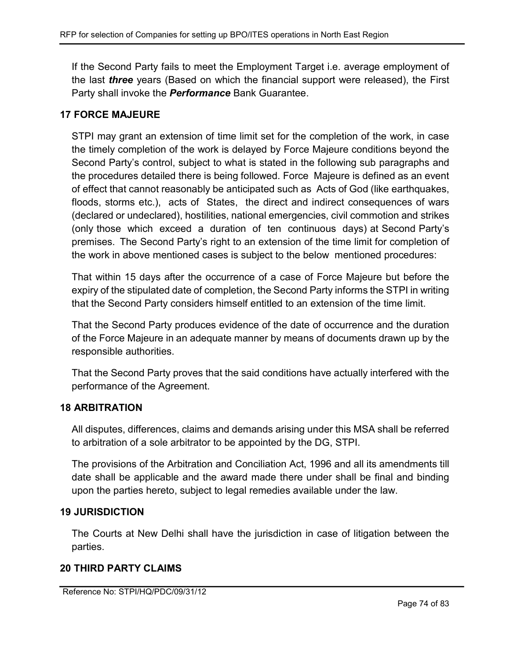If the Second Party fails to meet the Employment Target i.e. average employment of the last *three* years (Based on which the financial support were released), the First Party shall invoke the **Performance** Bank Guarantee.

## 17 FORCE MAJEURE

STPI may grant an extension of time limit set for the completion of the work, in case the timely completion of the work is delayed by Force Majeure conditions beyond the Second Party's control, subject to what is stated in the following sub paragraphs and the procedures detailed there is being followed. Force Majeure is defined as an event of effect that cannot reasonably be anticipated such as Acts of God (like earthquakes, floods, storms etc.), acts of States, the direct and indirect consequences of wars (declared or undeclared), hostilities, national emergencies, civil commotion and strikes (only those which exceed a duration of ten continuous days) at Second Party's premises. The Second Party's right to an extension of the time limit for completion of the work in above mentioned cases is subject to the below mentioned procedures:

That within 15 days after the occurrence of a case of Force Majeure but before the expiry of the stipulated date of completion, the Second Party informs the STPI in writing that the Second Party considers himself entitled to an extension of the time limit.

That the Second Party produces evidence of the date of occurrence and the duration of the Force Majeure in an adequate manner by means of documents drawn up by the responsible authorities.

That the Second Party proves that the said conditions have actually interfered with the performance of the Agreement.

## 18 ARBITRATION

All disputes, differences, claims and demands arising under this MSA shall be referred to arbitration of a sole arbitrator to be appointed by the DG, STPI.

The provisions of the Arbitration and Conciliation Act, 1996 and all its amendments till date shall be applicable and the award made there under shall be final and binding upon the parties hereto, subject to legal remedies available under the law.

## 19 JURISDICTION

The Courts at New Delhi shall have the jurisdiction in case of litigation between the parties.

## 20 THIRD PARTY CLAIMS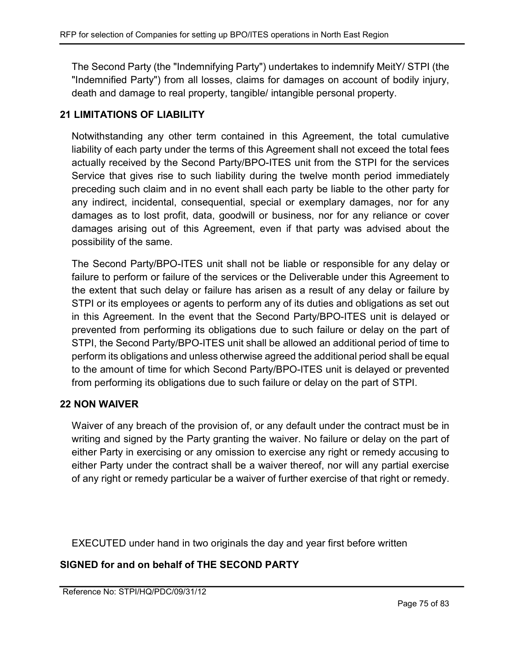The Second Party (the "Indemnifying Party") undertakes to indemnify MeitY/ STPI (the "Indemnified Party") from all losses, claims for damages on account of bodily injury, death and damage to real property, tangible/ intangible personal property.

# 21 LIMITATIONS OF LIABILITY

Notwithstanding any other term contained in this Agreement, the total cumulative liability of each party under the terms of this Agreement shall not exceed the total fees actually received by the Second Party/BPO-ITES unit from the STPI for the services Service that gives rise to such liability during the twelve month period immediately preceding such claim and in no event shall each party be liable to the other party for any indirect, incidental, consequential, special or exemplary damages, nor for any damages as to lost profit, data, goodwill or business, nor for any reliance or cover damages arising out of this Agreement, even if that party was advised about the possibility of the same.

The Second Party/BPO-ITES unit shall not be liable or responsible for any delay or failure to perform or failure of the services or the Deliverable under this Agreement to the extent that such delay or failure has arisen as a result of any delay or failure by STPI or its employees or agents to perform any of its duties and obligations as set out in this Agreement. In the event that the Second Party/BPO-ITES unit is delayed or prevented from performing its obligations due to such failure or delay on the part of STPI, the Second Party/BPO-ITES unit shall be allowed an additional period of time to perform its obligations and unless otherwise agreed the additional period shall be equal to the amount of time for which Second Party/BPO-ITES unit is delayed or prevented from performing its obligations due to such failure or delay on the part of STPI.

## 22 NON WAIVER

Waiver of any breach of the provision of, or any default under the contract must be in writing and signed by the Party granting the waiver. No failure or delay on the part of either Party in exercising or any omission to exercise any right or remedy accusing to either Party under the contract shall be a waiver thereof, nor will any partial exercise of any right or remedy particular be a waiver of further exercise of that right or remedy.

EXECUTED under hand in two originals the day and year first before written

## SIGNED for and on behalf of THE SECOND PARTY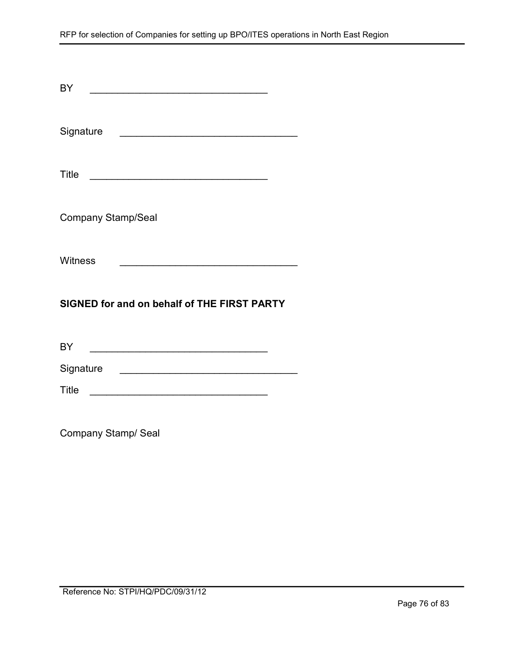| BY<br><u> 1989 - Johann John Stone, mars eta bat eta bat eta bat eta bat eta bat eta bat eta bat eta bat eta bat eta b</u>       |  |  |  |  |
|----------------------------------------------------------------------------------------------------------------------------------|--|--|--|--|
| Signature                                                                                                                        |  |  |  |  |
| Title<br><u> 1980 - Jan James James James James James James James James James James James James James James James James J</u>    |  |  |  |  |
| <b>Company Stamp/Seal</b>                                                                                                        |  |  |  |  |
| Witness<br><u> 1980 - Johann Barn, mars ann an t-Amhain an t-Amhain an t-Amhain an t-Amhain an t-Amhain an t-Amhain an t-Amh</u> |  |  |  |  |
| SIGNED for and on behalf of THE FIRST PARTY                                                                                      |  |  |  |  |
| BY                                                                                                                               |  |  |  |  |
| Signature                                                                                                                        |  |  |  |  |
| Title                                                                                                                            |  |  |  |  |

Company Stamp/ Seal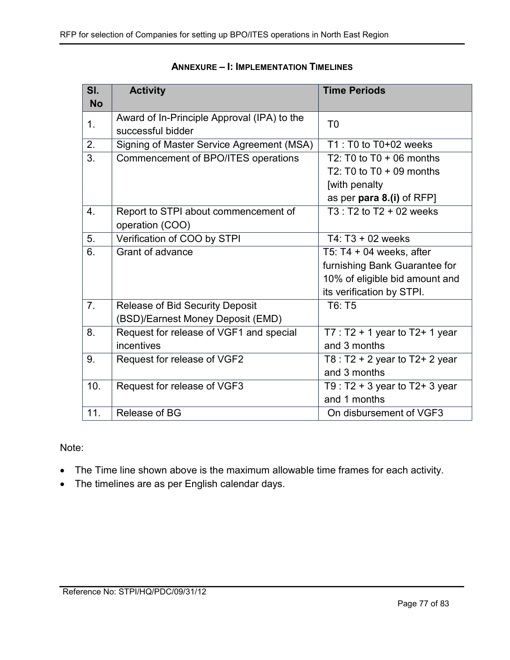| SI.       | <b>Activity</b>                             | <b>Time Periods</b>                 |
|-----------|---------------------------------------------|-------------------------------------|
| <b>No</b> |                                             |                                     |
| 1.        | Award of In-Principle Approval (IPA) to the | T <sub>0</sub>                      |
|           | successful bidder                           |                                     |
| 2.        | Signing of Master Service Agreement (MSA)   | $T1: T0$ to $T0+02$ weeks           |
| 3.        | Commencement of BPO/ITES operations         | T2: T0 to $T0 + 06$ months          |
|           |                                             | T2: T0 to $T0 + 09$ months          |
|           |                                             | [with penalty                       |
|           |                                             | as per para 8.(i) of RFP]           |
| 4.        | Report to STPI about commencement of        | $T3: T2$ to $T2 + 02$ weeks         |
|           | operation (COO)                             |                                     |
| 5.        | Verification of COO by STPI                 | T4: $T3 + 02$ weeks                 |
| 6.        | Grant of advance                            | T5: T4 $+$ 04 weeks, after          |
|           |                                             | furnishing Bank Guarantee for       |
|           |                                             | 10% of eligible bid amount and      |
|           |                                             | its verification by STPI.           |
| 7.        | <b>Release of Bid Security Deposit</b>      | T6: T5                              |
|           | (BSD)/Earnest Money Deposit (EMD)           |                                     |
| 8.        | Request for release of VGF1 and special     | T7 : $T2 + 1$ year to $T2 + 1$ year |
|           | incentives                                  | and 3 months                        |
| 9.        | Request for release of VGF2                 | T8 : $T2 + 2$ year to $T2 + 2$ year |
|           |                                             | and 3 months                        |
| 10.       | Request for release of VGF3                 | T9 : $T2 + 3$ year to $T2 + 3$ year |
|           |                                             | and 1 months                        |
| 11.       | Release of BG                               | On disbursement of VGF3             |

### ANNEXURE – I: IMPLEMENTATION TIMELINES

#### Note:

- The Time line shown above is the maximum allowable time frames for each activity.
- The timelines are as per English calendar days.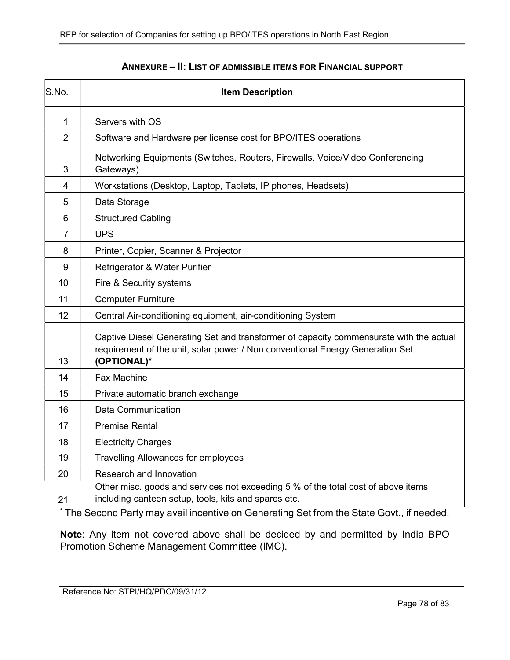| S.No.          | <b>Item Description</b>                                                                                                                                                                |  |
|----------------|----------------------------------------------------------------------------------------------------------------------------------------------------------------------------------------|--|
| 1              | Servers with OS                                                                                                                                                                        |  |
| $\overline{2}$ | Software and Hardware per license cost for BPO/ITES operations                                                                                                                         |  |
| 3              | Networking Equipments (Switches, Routers, Firewalls, Voice/Video Conferencing<br>Gateways)                                                                                             |  |
| $\overline{4}$ | Workstations (Desktop, Laptop, Tablets, IP phones, Headsets)                                                                                                                           |  |
| 5              | Data Storage                                                                                                                                                                           |  |
| 6              | <b>Structured Cabling</b>                                                                                                                                                              |  |
| $\overline{7}$ | <b>UPS</b>                                                                                                                                                                             |  |
| 8              | Printer, Copier, Scanner & Projector                                                                                                                                                   |  |
| 9              | Refrigerator & Water Purifier                                                                                                                                                          |  |
| 10             | Fire & Security systems                                                                                                                                                                |  |
| 11             | <b>Computer Furniture</b>                                                                                                                                                              |  |
| 12             | Central Air-conditioning equipment, air-conditioning System                                                                                                                            |  |
| 13             | Captive Diesel Generating Set and transformer of capacity commensurate with the actual<br>requirement of the unit, solar power / Non conventional Energy Generation Set<br>(OPTIONAL)* |  |
| 14             | <b>Fax Machine</b>                                                                                                                                                                     |  |
| 15             | Private automatic branch exchange                                                                                                                                                      |  |
| 16             | Data Communication                                                                                                                                                                     |  |
| 17             | <b>Premise Rental</b>                                                                                                                                                                  |  |
| 18             | <b>Electricity Charges</b>                                                                                                                                                             |  |
| 19             | <b>Travelling Allowances for employees</b>                                                                                                                                             |  |
| 20             | Research and Innovation                                                                                                                                                                |  |
| 21             | Other misc. goods and services not exceeding 5 % of the total cost of above items<br>including canteen setup, tools, kits and spares etc.                                              |  |

### ANNEXURE – II: LIST OF ADMISSIBLE ITEMS FOR FINANCIAL SUPPORT

\* The Second Party may avail incentive on Generating Set from the State Govt., if needed.

Note: Any item not covered above shall be decided by and permitted by India BPO Promotion Scheme Management Committee (IMC).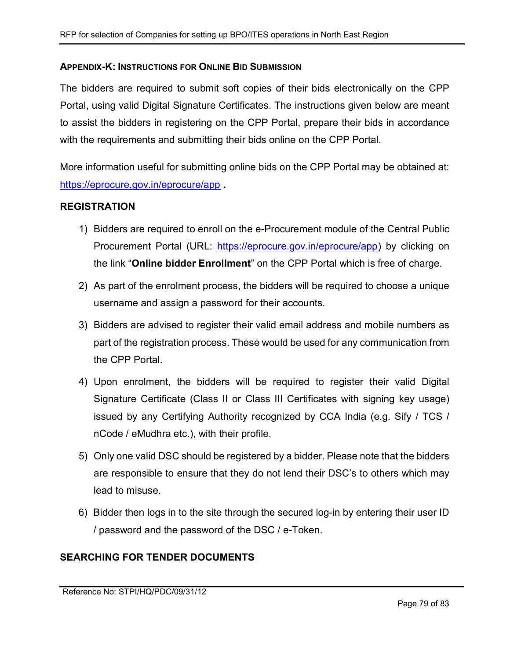### APPENDIX-K: INSTRUCTIONS FOR ONLINE BID SUBMISSION

The bidders are required to submit soft copies of their bids electronically on the CPP Portal, using valid Digital Signature Certificates. The instructions given below are meant to assist the bidders in registering on the CPP Portal, prepare their bids in accordance with the requirements and submitting their bids online on the CPP Portal.

More information useful for submitting online bids on the CPP Portal may be obtained at: https://eprocure.gov.in/eprocure/app .

## REGISTRATION

- 1) Bidders are required to enroll on the e-Procurement module of the Central Public Procurement Portal (URL: https://eprocure.gov.in/eprocure/app) by clicking on the link "Online bidder Enrollment" on the CPP Portal which is free of charge.
- 2) As part of the enrolment process, the bidders will be required to choose a unique username and assign a password for their accounts.
- 3) Bidders are advised to register their valid email address and mobile numbers as part of the registration process. These would be used for any communication from the CPP Portal.
- 4) Upon enrolment, the bidders will be required to register their valid Digital Signature Certificate (Class II or Class III Certificates with signing key usage) issued by any Certifying Authority recognized by CCA India (e.g. Sify / TCS / nCode / eMudhra etc.), with their profile.
- 5) Only one valid DSC should be registered by a bidder. Please note that the bidders are responsible to ensure that they do not lend their DSC's to others which may lead to misuse.
- 6) Bidder then logs in to the site through the secured log-in by entering their user ID / password and the password of the DSC / e-Token.

## SEARCHING FOR TENDER DOCUMENTS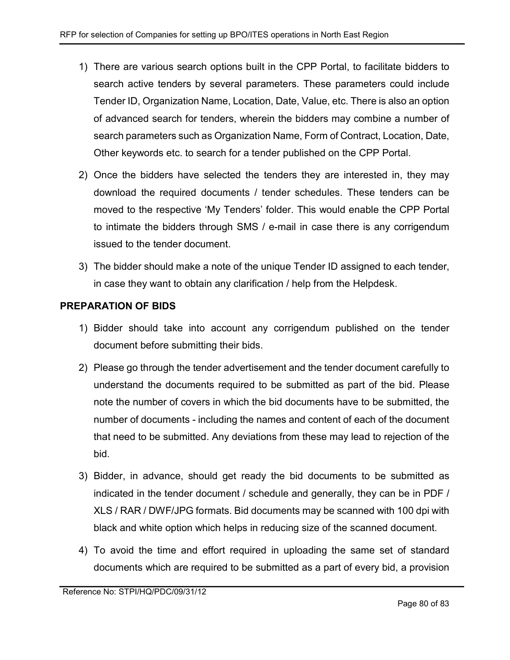- 1) There are various search options built in the CPP Portal, to facilitate bidders to search active tenders by several parameters. These parameters could include Tender ID, Organization Name, Location, Date, Value, etc. There is also an option of advanced search for tenders, wherein the bidders may combine a number of search parameters such as Organization Name, Form of Contract, Location, Date, Other keywords etc. to search for a tender published on the CPP Portal.
- 2) Once the bidders have selected the tenders they are interested in, they may download the required documents / tender schedules. These tenders can be moved to the respective 'My Tenders' folder. This would enable the CPP Portal to intimate the bidders through SMS / e-mail in case there is any corrigendum issued to the tender document.
- 3) The bidder should make a note of the unique Tender ID assigned to each tender, in case they want to obtain any clarification / help from the Helpdesk.

# PREPARATION OF BIDS

- 1) Bidder should take into account any corrigendum published on the tender document before submitting their bids.
- 2) Please go through the tender advertisement and the tender document carefully to understand the documents required to be submitted as part of the bid. Please note the number of covers in which the bid documents have to be submitted, the number of documents - including the names and content of each of the document that need to be submitted. Any deviations from these may lead to rejection of the bid.
- 3) Bidder, in advance, should get ready the bid documents to be submitted as indicated in the tender document / schedule and generally, they can be in PDF / XLS / RAR / DWF/JPG formats. Bid documents may be scanned with 100 dpi with black and white option which helps in reducing size of the scanned document.
- 4) To avoid the time and effort required in uploading the same set of standard documents which are required to be submitted as a part of every bid, a provision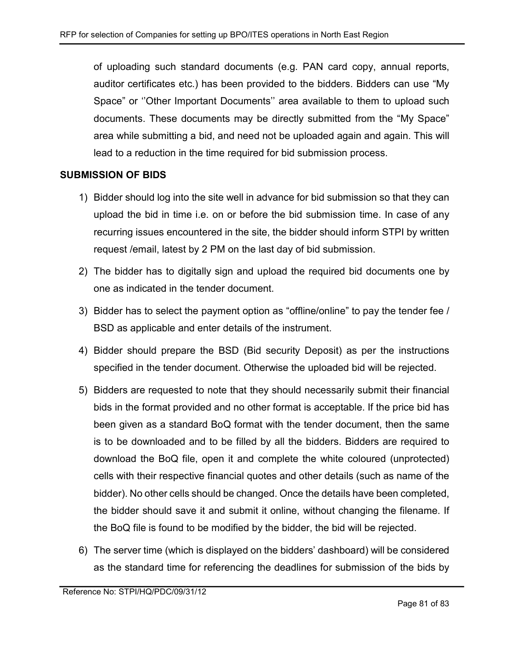of uploading such standard documents (e.g. PAN card copy, annual reports, auditor certificates etc.) has been provided to the bidders. Bidders can use "My Space" or ''Other Important Documents'' area available to them to upload such documents. These documents may be directly submitted from the "My Space" area while submitting a bid, and need not be uploaded again and again. This will lead to a reduction in the time required for bid submission process.

### SUBMISSION OF BIDS

- 1) Bidder should log into the site well in advance for bid submission so that they can upload the bid in time i.e. on or before the bid submission time. In case of any recurring issues encountered in the site, the bidder should inform STPI by written request /email, latest by 2 PM on the last day of bid submission.
- 2) The bidder has to digitally sign and upload the required bid documents one by one as indicated in the tender document.
- 3) Bidder has to select the payment option as "offline/online" to pay the tender fee / BSD as applicable and enter details of the instrument.
- 4) Bidder should prepare the BSD (Bid security Deposit) as per the instructions specified in the tender document. Otherwise the uploaded bid will be rejected.
- 5) Bidders are requested to note that they should necessarily submit their financial bids in the format provided and no other format is acceptable. If the price bid has been given as a standard BoQ format with the tender document, then the same is to be downloaded and to be filled by all the bidders. Bidders are required to download the BoQ file, open it and complete the white coloured (unprotected) cells with their respective financial quotes and other details (such as name of the bidder). No other cells should be changed. Once the details have been completed, the bidder should save it and submit it online, without changing the filename. If the BoQ file is found to be modified by the bidder, the bid will be rejected.
- 6) The server time (which is displayed on the bidders' dashboard) will be considered as the standard time for referencing the deadlines for submission of the bids by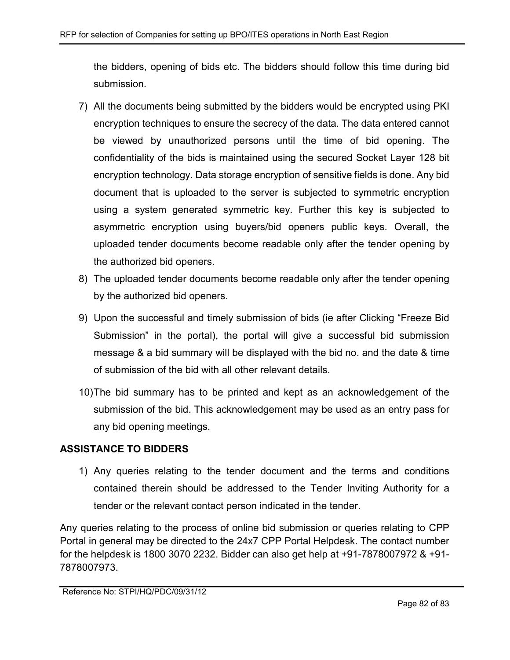the bidders, opening of bids etc. The bidders should follow this time during bid submission.

- 7) All the documents being submitted by the bidders would be encrypted using PKI encryption techniques to ensure the secrecy of the data. The data entered cannot be viewed by unauthorized persons until the time of bid opening. The confidentiality of the bids is maintained using the secured Socket Layer 128 bit encryption technology. Data storage encryption of sensitive fields is done. Any bid document that is uploaded to the server is subjected to symmetric encryption using a system generated symmetric key. Further this key is subjected to asymmetric encryption using buyers/bid openers public keys. Overall, the uploaded tender documents become readable only after the tender opening by the authorized bid openers.
- 8) The uploaded tender documents become readable only after the tender opening by the authorized bid openers.
- 9) Upon the successful and timely submission of bids (ie after Clicking "Freeze Bid Submission" in the portal), the portal will give a successful bid submission message & a bid summary will be displayed with the bid no. and the date & time of submission of the bid with all other relevant details.
- 10) The bid summary has to be printed and kept as an acknowledgement of the submission of the bid. This acknowledgement may be used as an entry pass for any bid opening meetings.

# ASSISTANCE TO BIDDERS

1) Any queries relating to the tender document and the terms and conditions contained therein should be addressed to the Tender Inviting Authority for a tender or the relevant contact person indicated in the tender.

Any queries relating to the process of online bid submission or queries relating to CPP Portal in general may be directed to the 24x7 CPP Portal Helpdesk. The contact number for the helpdesk is 1800 3070 2232. Bidder can also get help at +91-7878007972 & +91- 7878007973.